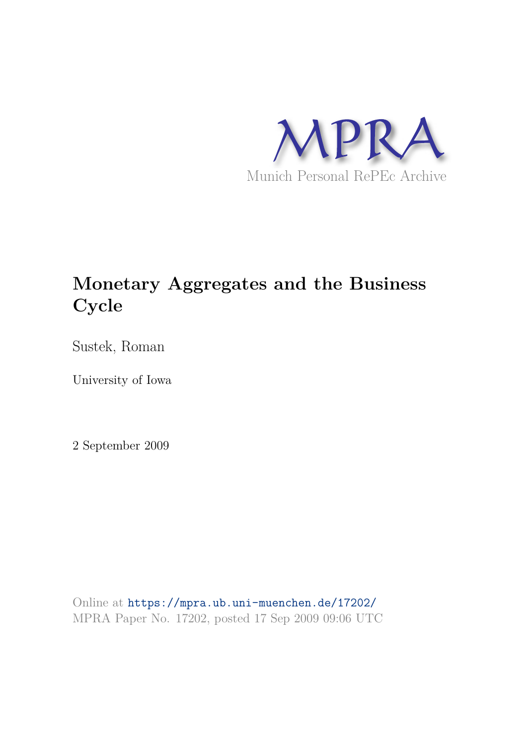

# **Monetary Aggregates and the Business Cycle**

Sustek, Roman

University of Iowa

2 September 2009

Online at https://mpra.ub.uni-muenchen.de/17202/ MPRA Paper No. 17202, posted 17 Sep 2009 09:06 UTC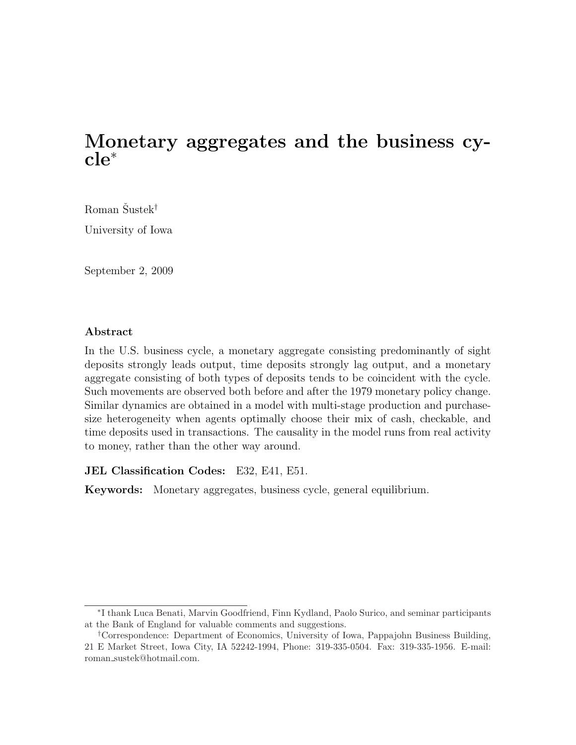# Monetary aggregates and the business cycle<sup>∗</sup>

Roman Šustek<sup>†</sup>

University of Iowa

September 2, 2009

#### Abstract

In the U.S. business cycle, a monetary aggregate consisting predominantly of sight deposits strongly leads output, time deposits strongly lag output, and a monetary aggregate consisting of both types of deposits tends to be coincident with the cycle. Such movements are observed both before and after the 1979 monetary policy change. Similar dynamics are obtained in a model with multi-stage production and purchasesize heterogeneity when agents optimally choose their mix of cash, checkable, and time deposits used in transactions. The causality in the model runs from real activity to money, rather than the other way around.

JEL Classification Codes: E32, E41, E51.

Keywords: Monetary aggregates, business cycle, general equilibrium.

<sup>∗</sup> I thank Luca Benati, Marvin Goodfriend, Finn Kydland, Paolo Surico, and seminar participants at the Bank of England for valuable comments and suggestions.

<sup>†</sup>Correspondence: Department of Economics, University of Iowa, Pappajohn Business Building, 21 E Market Street, Iowa City, IA 52242-1994, Phone: 319-335-0504. Fax: 319-335-1956. E-mail: roman sustek@hotmail.com.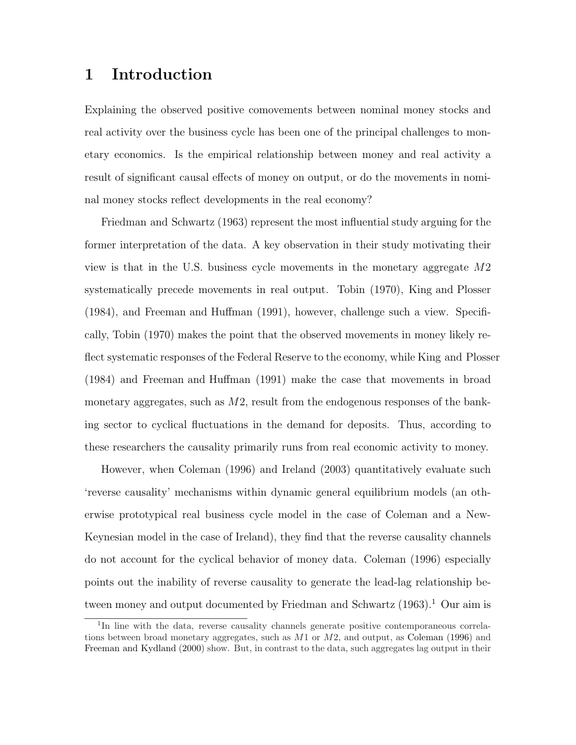# 1 Introduction

Explaining the observed positive comovements between nominal money stocks and real activity over the business cycle has been one of the principal challenges to monetary economics. Is the empirical relationship between money and real activity a result of significant causal effects of money on output, or do the movements in nominal money stocks reflect developments in the real economy?

Friedman and Schwartz (1963) represent the most influential study arguing for the former interpretation of the data. A key observation in their study motivating their view is that in the U.S. business cycle movements in the monetary aggregate M2 systematically precede movements in real output. Tobin (1970), King and Plosser (1984), and Freeman and Huffman (1991), however, challenge such a view. Specifically, Tobin (1970) makes the point that the observed movements in money likely reflect systematic responses of the Federal Reserve to the economy, while King and Plosser (1984) and Freeman and Huffman (1991) make the case that movements in broad monetary aggregates, such as  $M2$ , result from the endogenous responses of the banking sector to cyclical fluctuations in the demand for deposits. Thus, according to these researchers the causality primarily runs from real economic activity to money.

However, when Coleman (1996) and Ireland (2003) quantitatively evaluate such 'reverse causality' mechanisms within dynamic general equilibrium models (an otherwise prototypical real business cycle model in the case of Coleman and a New-Keynesian model in the case of Ireland), they find that the reverse causality channels do not account for the cyclical behavior of money data. Coleman (1996) especially points out the inability of reverse causality to generate the lead-lag relationship between money and output documented by Friedman and Schwartz  $(1963).$ <sup>1</sup> Our aim is

<sup>&</sup>lt;sup>1</sup>In line with the data, reverse causality channels generate positive contemporaneous correlations between broad monetary aggregates, such as  $M1$  or  $M2$ , and output, as Coleman (1996) and Freeman and Kydland (2000) show. But, in contrast to the data, such aggregates lag output in their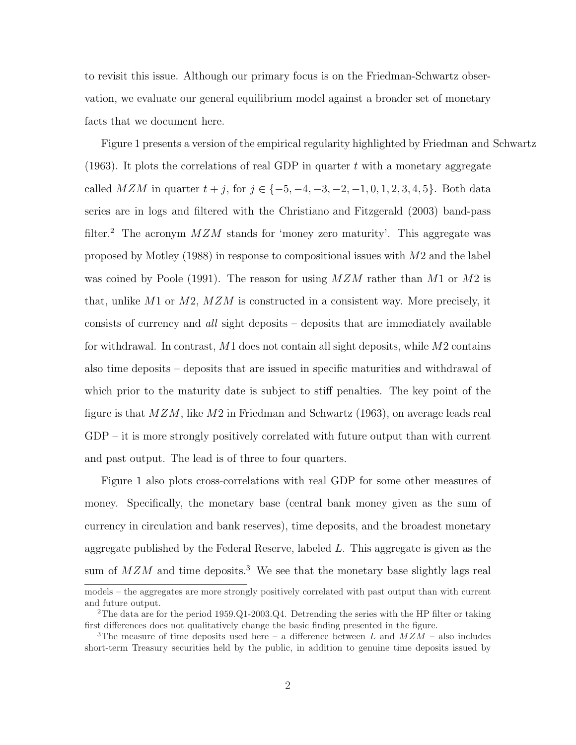to revisit this issue. Although our primary focus is on the Friedman-Schwartz observation, we evaluate our general equilibrium model against a broader set of monetary facts that we document here.

Figure 1 presents a version of the empirical regularity highlighted by Friedman and Schwartz  $(1963)$ . It plots the correlations of real GDP in quarter t with a monetary aggregate called  $MZM$  in quarter  $t + j$ , for  $j \in \{-5, -4, -3, -2, -1, 0, 1, 2, 3, 4, 5\}$ . Both data series are in logs and filtered with the Christiano and Fitzgerald (2003) band-pass filter.<sup>2</sup> The acronym  $MZM$  stands for 'money zero maturity'. This aggregate was proposed by Motley (1988) in response to compositional issues with M2 and the label was coined by Poole (1991). The reason for using  $MZM$  rather than M1 or M2 is that, unlike  $M1$  or  $M2$ ,  $MZM$  is constructed in a consistent way. More precisely, it consists of currency and all sight deposits – deposits that are immediately available for withdrawal. In contrast,  $M1$  does not contain all sight deposits, while  $M2$  contains also time deposits – deposits that are issued in specific maturities and withdrawal of which prior to the maturity date is subject to stiff penalties. The key point of the figure is that  $MZM$ , like  $M2$  in Friedman and Schwartz (1963), on average leads real GDP – it is more strongly positively correlated with future output than with current and past output. The lead is of three to four quarters.

Figure 1 also plots cross-correlations with real GDP for some other measures of money. Specifically, the monetary base (central bank money given as the sum of currency in circulation and bank reserves), time deposits, and the broadest monetary aggregate published by the Federal Reserve, labeled L. This aggregate is given as the sum of  $MZM$  and time deposits.<sup>3</sup> We see that the monetary base slightly lags real

models – the aggregates are more strongly positively correlated with past output than with current and future output.

<sup>&</sup>lt;sup>2</sup>The data are for the period 1959.Q1-2003.Q4. Detrending the series with the HP filter or taking first differences does not qualitatively change the basic finding presented in the figure.

<sup>&</sup>lt;sup>3</sup>The measure of time deposits used here – a difference between L and  $MZM$  – also includes short-term Treasury securities held by the public, in addition to genuine time deposits issued by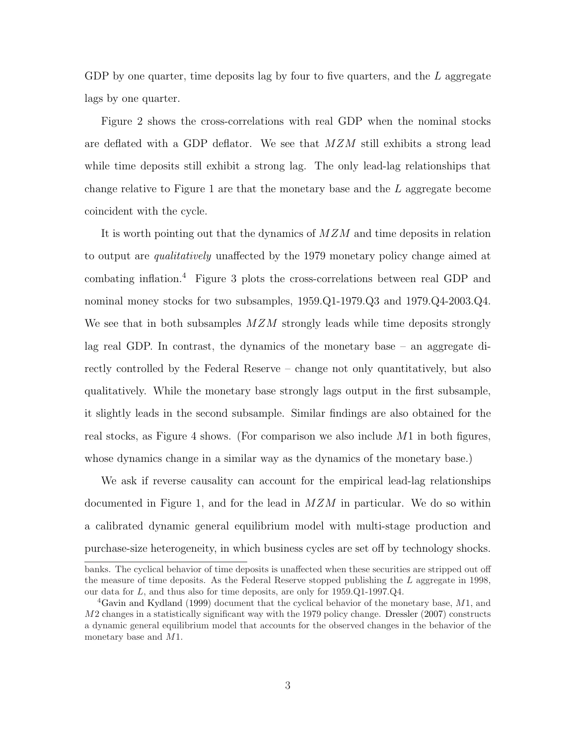GDP by one quarter, time deposits lag by four to five quarters, and the  $L$  aggregate lags by one quarter.

Figure 2 shows the cross-correlations with real GDP when the nominal stocks are deflated with a GDP deflator. We see that MZM still exhibits a strong lead while time deposits still exhibit a strong lag. The only lead-lag relationships that change relative to Figure 1 are that the monetary base and the L aggregate become coincident with the cycle.

It is worth pointing out that the dynamics of  $MZM$  and time deposits in relation to output are *qualitatively* unaffected by the 1979 monetary policy change aimed at combating inflation.<sup>4</sup> Figure 3 plots the cross-correlations between real GDP and nominal money stocks for two subsamples, 1959.Q1-1979.Q3 and 1979.Q4-2003.Q4. We see that in both subsamples  $MZM$  strongly leads while time deposits strongly lag real GDP. In contrast, the dynamics of the monetary base – an aggregate directly controlled by the Federal Reserve – change not only quantitatively, but also qualitatively. While the monetary base strongly lags output in the first subsample, it slightly leads in the second subsample. Similar findings are also obtained for the real stocks, as Figure 4 shows. (For comparison we also include  $M1$  in both figures, whose dynamics change in a similar way as the dynamics of the monetary base.)

We ask if reverse causality can account for the empirical lead-lag relationships documented in Figure 1, and for the lead in  $MZM$  in particular. We do so within a calibrated dynamic general equilibrium model with multi-stage production and purchase-size heterogeneity, in which business cycles are set off by technology shocks.

banks. The cyclical behavior of time deposits is unaffected when these securities are stripped out off the measure of time deposits. As the Federal Reserve stopped publishing the  $L$  aggregate in 1998, our data for  $L$ , and thus also for time deposits, are only for  $1959 \cdot Q1 - 1997 \cdot Q4$ .

 $4G$ avin and Kydland (1999) document that the cyclical behavior of the monetary base,  $M1$ , and M2 changes in a statistically significant way with the 1979 policy change. Dressler (2007) constructs a dynamic general equilibrium model that accounts for the observed changes in the behavior of the monetary base and M1.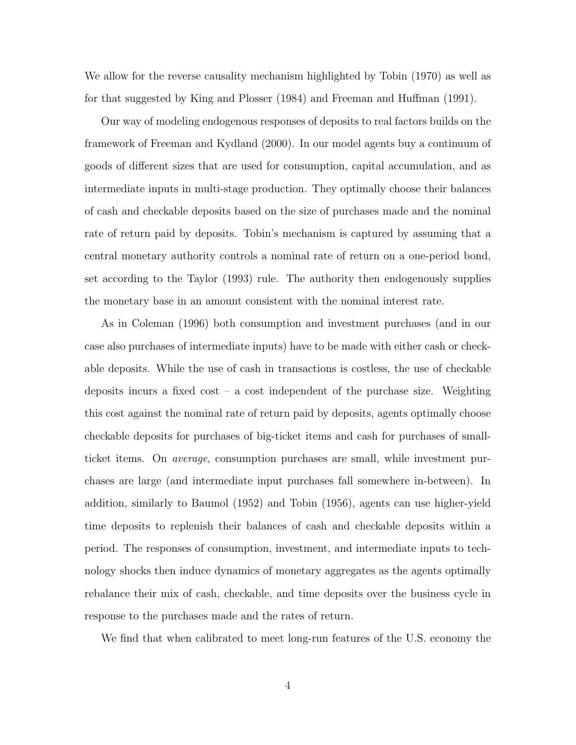We allow for the reverse causality mechanism highlighted by Tobin (1970) as well as for that suggested by King and Plosser (1984) and Freeman and Huffman (1991).

Our way of modeling endogenous responses of deposits to real factors builds on the framework of Freeman and Kydland (2000). In our model agents buy a continuum of goods of different sizes that are used for consumption, capital accumulation, and as intermediate inputs in multi-stage production. They optimally choose their balances of cash and checkable deposits based on the size of purchases made and the nominal rate of return paid by deposits. Tobin's mechanism is captured by assuming that a central monetary authority controls a nominal rate of return on a one-period bond, set according to the Taylor (1993) rule. The authority then endogenously supplies the monetary base in an amount consistent with the nominal interest rate.

As in Coleman (1996) both consumption and investment purchases (and in our case also purchases of intermediate inputs) have to be made with either cash or checkable deposits. While the use of cash in transactions is costless, the use of checkable deposits incurs a fixed cost – a cost independent of the purchase size. Weighting this cost against the nominal rate of return paid by deposits, agents optimally choose checkable deposits for purchases of big-ticket items and cash for purchases of smallticket items. On average, consumption purchases are small, while investment purchases are large (and intermediate input purchases fall somewhere in-between). In addition, similarly to Baumol (1952) and Tobin (1956), agents can use higher-yield time deposits to replenish their balances of cash and checkable deposits within a period. The responses of consumption, investment, and intermediate inputs to technology shocks then induce dynamics of monetary aggregates as the agents optimally rebalance their mix of cash, checkable, and time deposits over the business cycle in response to the purchases made and the rates of return.

We find that when calibrated to meet long-run features of the U.S. economy the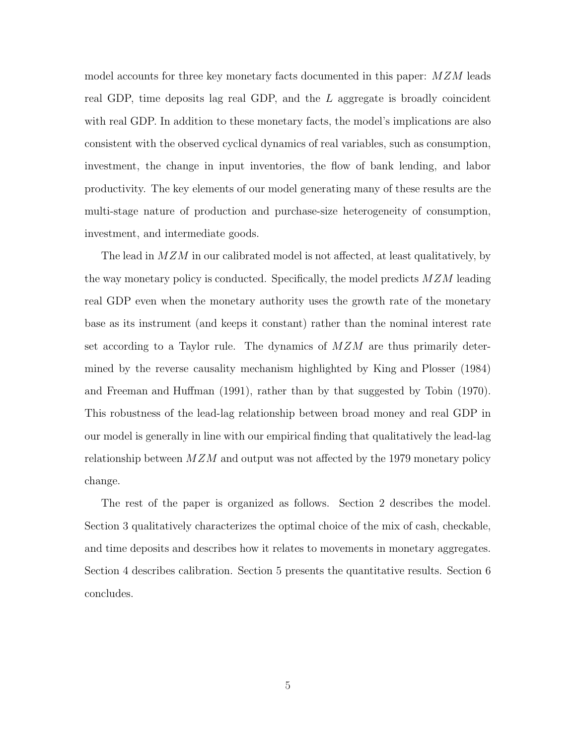model accounts for three key monetary facts documented in this paper: MZM leads real GDP, time deposits lag real GDP, and the  $L$  aggregate is broadly coincident with real GDP. In addition to these monetary facts, the model's implications are also consistent with the observed cyclical dynamics of real variables, such as consumption, investment, the change in input inventories, the flow of bank lending, and labor productivity. The key elements of our model generating many of these results are the multi-stage nature of production and purchase-size heterogeneity of consumption, investment, and intermediate goods.

The lead in  $MZM$  in our calibrated model is not affected, at least qualitatively, by the way monetary policy is conducted. Specifically, the model predicts  $MZM$  leading real GDP even when the monetary authority uses the growth rate of the monetary base as its instrument (and keeps it constant) rather than the nominal interest rate set according to a Taylor rule. The dynamics of  $MZM$  are thus primarily determined by the reverse causality mechanism highlighted by King and Plosser (1984) and Freeman and Huffman (1991), rather than by that suggested by Tobin (1970). This robustness of the lead-lag relationship between broad money and real GDP in our model is generally in line with our empirical finding that qualitatively the lead-lag relationship between  $MZM$  and output was not affected by the 1979 monetary policy change.

The rest of the paper is organized as follows. Section 2 describes the model. Section 3 qualitatively characterizes the optimal choice of the mix of cash, checkable, and time deposits and describes how it relates to movements in monetary aggregates. Section 4 describes calibration. Section 5 presents the quantitative results. Section 6 concludes.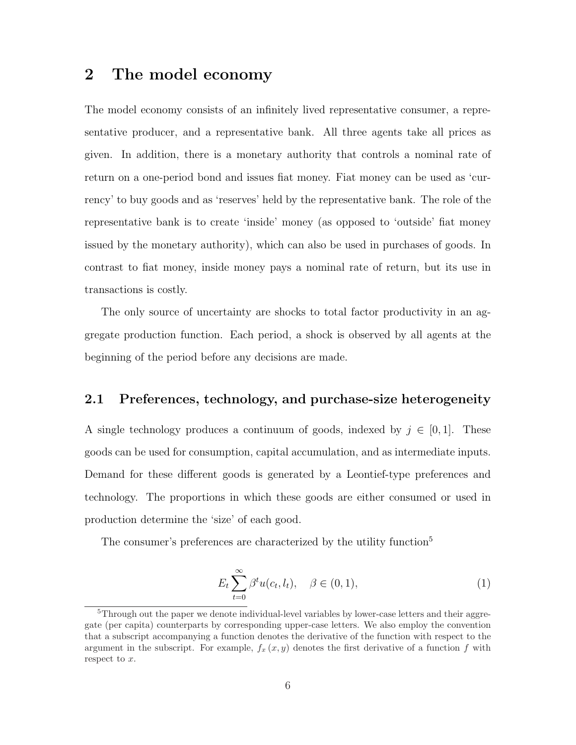### 2 The model economy

The model economy consists of an infinitely lived representative consumer, a representative producer, and a representative bank. All three agents take all prices as given. In addition, there is a monetary authority that controls a nominal rate of return on a one-period bond and issues fiat money. Fiat money can be used as 'currency' to buy goods and as 'reserves' held by the representative bank. The role of the representative bank is to create 'inside' money (as opposed to 'outside' fiat money issued by the monetary authority), which can also be used in purchases of goods. In contrast to fiat money, inside money pays a nominal rate of return, but its use in transactions is costly.

The only source of uncertainty are shocks to total factor productivity in an aggregate production function. Each period, a shock is observed by all agents at the beginning of the period before any decisions are made.

#### 2.1 Preferences, technology, and purchase-size heterogeneity

A single technology produces a continuum of goods, indexed by  $j \in [0, 1]$ . These goods can be used for consumption, capital accumulation, and as intermediate inputs. Demand for these different goods is generated by a Leontief-type preferences and technology. The proportions in which these goods are either consumed or used in production determine the 'size' of each good.

The consumer's preferences are characterized by the utility function<sup>5</sup>

$$
E_t \sum_{t=0}^{\infty} \beta^t u(c_t, l_t), \quad \beta \in (0, 1), \tag{1}
$$

<sup>&</sup>lt;sup>5</sup>Through out the paper we denote individual-level variables by lower-case letters and their aggregate (per capita) counterparts by corresponding upper-case letters. We also employ the convention that a subscript accompanying a function denotes the derivative of the function with respect to the argument in the subscript. For example,  $f_x(x,y)$  denotes the first derivative of a function f with respect to  $x$ .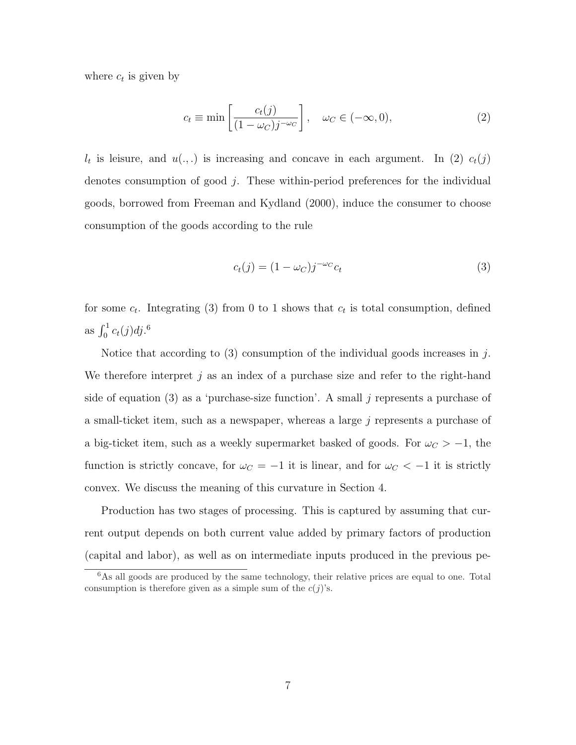where  $c_t$  is given by

$$
c_t \equiv \min\left[\frac{c_t(j)}{(1 - \omega_C)j^{-\omega_C}}\right], \quad \omega_C \in (-\infty, 0),\tag{2}
$$

 $l_t$  is leisure, and  $u(.,.)$  is increasing and concave in each argument. In (2)  $c_t(j)$ denotes consumption of good j. These within-period preferences for the individual goods, borrowed from Freeman and Kydland (2000), induce the consumer to choose consumption of the goods according to the rule

$$
c_t(j) = (1 - \omega_C)j^{-\omega_C}c_t
$$
\n
$$
(3)
$$

for some  $c_t$ . Integrating (3) from 0 to 1 shows that  $c_t$  is total consumption, defined as  $\int_0^1 c_t(j) \, dj$ .<sup>6</sup>

Notice that according to  $(3)$  consumption of the individual goods increases in j. We therefore interpret j as an index of a purchase size and refer to the right-hand side of equation (3) as a 'purchase-size function'. A small  $j$  represents a purchase of a small-ticket item, such as a newspaper, whereas a large  $j$  represents a purchase of a big-ticket item, such as a weekly supermarket basked of goods. For  $\omega_C > -1$ , the function is strictly concave, for  $\omega_C = -1$  it is linear, and for  $\omega_C < -1$  it is strictly convex. We discuss the meaning of this curvature in Section 4.

Production has two stages of processing. This is captured by assuming that current output depends on both current value added by primary factors of production (capital and labor), as well as on intermediate inputs produced in the previous pe-

<sup>&</sup>lt;sup>6</sup>As all goods are produced by the same technology, their relative prices are equal to one. Total consumption is therefore given as a simple sum of the  $c(j)$ 's.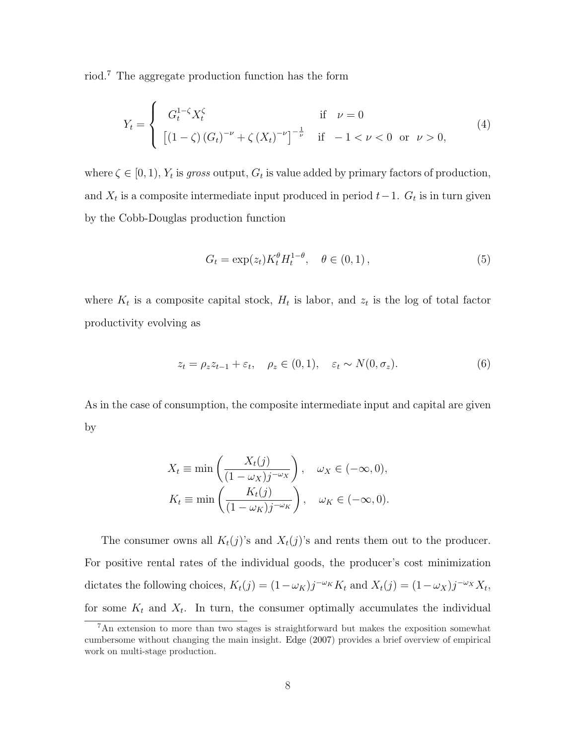riod.<sup>7</sup> The aggregate production function has the form

$$
Y_t = \begin{cases} G_t^{1-\zeta} X_t^{\zeta} & \text{if } \nu = 0\\ \left[ (1-\zeta) \left( G_t \right)^{-\nu} + \zeta \left( X_t \right)^{-\nu} \right]^{-\frac{1}{\nu}} & \text{if } -1 < \nu < 0 \text{ or } \nu > 0, \end{cases}
$$
(4)

where  $\zeta \in [0, 1), Y_t$  is gross output,  $G_t$  is value added by primary factors of production, and  $X_t$  is a composite intermediate input produced in period  $t-1$ .  $G_t$  is in turn given by the Cobb-Douglas production function

$$
G_t = \exp(z_t) K_t^{\theta} H_t^{1-\theta}, \quad \theta \in (0,1), \tag{5}
$$

where  $K_t$  is a composite capital stock,  $H_t$  is labor, and  $z_t$  is the log of total factor productivity evolving as

$$
z_t = \rho_z z_{t-1} + \varepsilon_t, \quad \rho_z \in (0, 1), \quad \varepsilon_t \sim N(0, \sigma_z). \tag{6}
$$

As in the case of consumption, the composite intermediate input and capital are given by

$$
X_t \equiv \min\left(\frac{X_t(j)}{(1 - \omega_X)j^{-\omega_X}}\right), \quad \omega_X \in (-\infty, 0),
$$

$$
K_t \equiv \min\left(\frac{K_t(j)}{(1 - \omega_K)j^{-\omega_K}}\right), \quad \omega_K \in (-\infty, 0).
$$

The consumer owns all  $K_t(j)$ 's and  $X_t(j)$ 's and rents them out to the producer. For positive rental rates of the individual goods, the producer's cost minimization dictates the following choices,  $K_t(j) = (1 - \omega_K)j^{-\omega_K} K_t$  and  $X_t(j) = (1 - \omega_K)j^{-\omega_K} X_t$ , for some  $K_t$  and  $X_t$ . In turn, the consumer optimally accumulates the individual

<sup>7</sup>An extension to more than two stages is straightforward but makes the exposition somewhat cumbersome without changing the main insight. Edge (2007) provides a brief overview of empirical work on multi-stage production.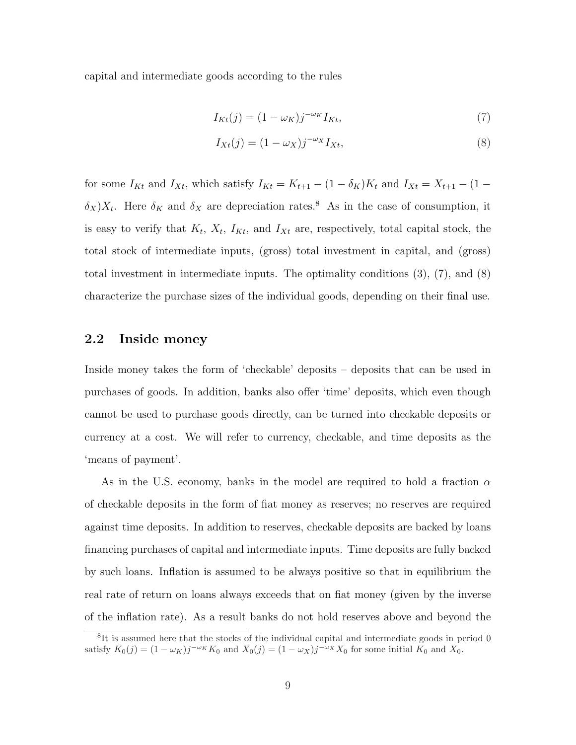capital and intermediate goods according to the rules

$$
I_{Kt}(j) = (1 - \omega_K)j^{-\omega_K}I_{Kt},\tag{7}
$$

$$
I_{Xt}(j) = (1 - \omega_X)j^{-\omega_X} I_{Xt},\tag{8}
$$

for some  $I_{Kt}$  and  $I_{Xt}$ , which satisfy  $I_{Kt} = K_{t+1} - (1 - \delta_K)K_t$  and  $I_{Xt} = X_{t+1} - (1 - \delta_K)K_t$  $\delta_X$ )X<sub>t</sub>. Here  $\delta_K$  and  $\delta_X$  are depreciation rates.<sup>8</sup> As in the case of consumption, it is easy to verify that  $K_t$ ,  $X_t$ ,  $I_{Kt}$ , and  $I_{Xt}$  are, respectively, total capital stock, the total stock of intermediate inputs, (gross) total investment in capital, and (gross) total investment in intermediate inputs. The optimality conditions (3), (7), and (8) characterize the purchase sizes of the individual goods, depending on their final use.

### 2.2 Inside money

Inside money takes the form of 'checkable' deposits – deposits that can be used in purchases of goods. In addition, banks also offer 'time' deposits, which even though cannot be used to purchase goods directly, can be turned into checkable deposits or currency at a cost. We will refer to currency, checkable, and time deposits as the 'means of payment'.

As in the U.S. economy, banks in the model are required to hold a fraction  $\alpha$ of checkable deposits in the form of fiat money as reserves; no reserves are required against time deposits. In addition to reserves, checkable deposits are backed by loans financing purchases of capital and intermediate inputs. Time deposits are fully backed by such loans. Inflation is assumed to be always positive so that in equilibrium the real rate of return on loans always exceeds that on fiat money (given by the inverse of the inflation rate). As a result banks do not hold reserves above and beyond the

<sup>&</sup>lt;sup>8</sup>It is assumed here that the stocks of the individual capital and intermediate goods in period 0 satisfy  $K_0(j) = (1 - \omega_K)j^{-\omega_K} K_0$  and  $X_0(j) = (1 - \omega_K)j^{-\omega_K} X_0$  for some initial  $K_0$  and  $X_0$ .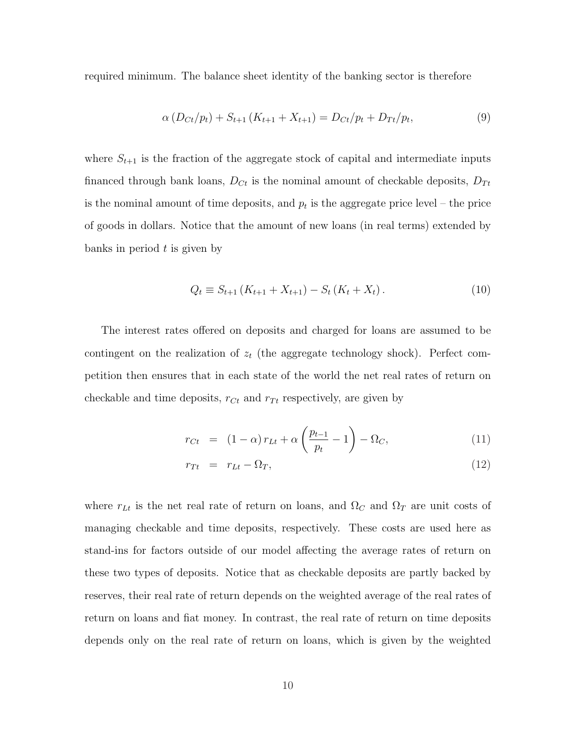required minimum. The balance sheet identity of the banking sector is therefore

$$
\alpha \left( D_{Ct}/p_t \right) + S_{t+1} \left( K_{t+1} + X_{t+1} \right) = D_{Ct}/p_t + D_{Tt}/p_t, \tag{9}
$$

where  $S_{t+1}$  is the fraction of the aggregate stock of capital and intermediate inputs financed through bank loans,  $D_{C_t}$  is the nominal amount of checkable deposits,  $D_{T_t}$ is the nominal amount of time deposits, and  $p_t$  is the aggregate price level – the price of goods in dollars. Notice that the amount of new loans (in real terms) extended by banks in period  $t$  is given by

$$
Q_t \equiv S_{t+1} \left( K_{t+1} + X_{t+1} \right) - S_t \left( K_t + X_t \right). \tag{10}
$$

The interest rates offered on deposits and charged for loans are assumed to be contingent on the realization of  $z_t$  (the aggregate technology shock). Perfect competition then ensures that in each state of the world the net real rates of return on checkable and time deposits,  $r_{Ct}$  and  $r_{Tt}$  respectively, are given by

$$
r_{Ct} = (1 - \alpha) r_{Lt} + \alpha \left( \frac{p_{t-1}}{p_t} - 1 \right) - \Omega_C, \tag{11}
$$

$$
r_{Tt} = r_{Lt} - \Omega_T, \tag{12}
$$

where  $r_{Lt}$  is the net real rate of return on loans, and  $\Omega_C$  and  $\Omega_T$  are unit costs of managing checkable and time deposits, respectively. These costs are used here as stand-ins for factors outside of our model affecting the average rates of return on these two types of deposits. Notice that as checkable deposits are partly backed by reserves, their real rate of return depends on the weighted average of the real rates of return on loans and fiat money. In contrast, the real rate of return on time deposits depends only on the real rate of return on loans, which is given by the weighted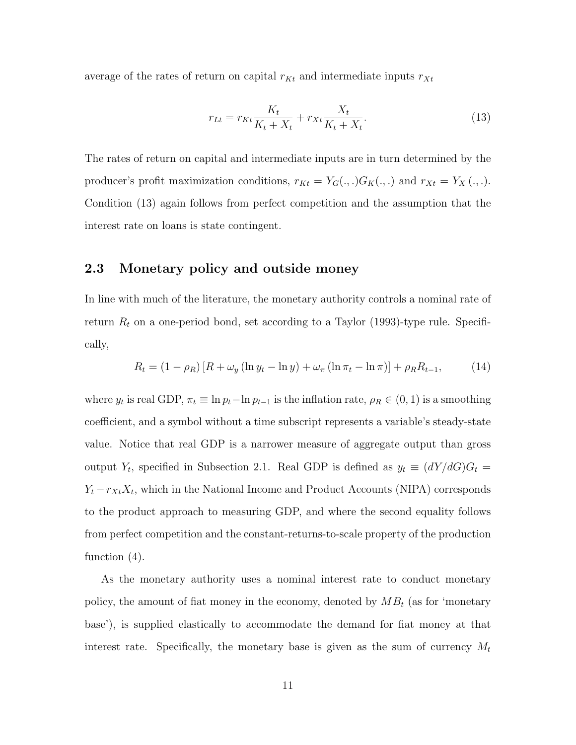average of the rates of return on capital  $r_{Kt}$  and intermediate inputs  $r_{Xt}$ 

$$
r_{Lt} = r_{Kt} \frac{K_t}{K_t + X_t} + r_{Xt} \frac{X_t}{K_t + X_t}.
$$
\n(13)

The rates of return on capital and intermediate inputs are in turn determined by the producer's profit maximization conditions,  $r_{Kt} = Y_G(.,.)G_K(.,.)$  and  $r_{Xt} = Y_X(.,.).$ Condition (13) again follows from perfect competition and the assumption that the interest rate on loans is state contingent.

### 2.3 Monetary policy and outside money

In line with much of the literature, the monetary authority controls a nominal rate of return  $R_t$  on a one-period bond, set according to a Taylor (1993)-type rule. Specifically,

$$
R_{t} = (1 - \rho_{R}) [R + \omega_{y} (\ln y_{t} - \ln y) + \omega_{\pi} (\ln \pi_{t} - \ln \pi)] + \rho_{R} R_{t-1},
$$
 (14)

where  $y_t$  is real GDP,  $\pi_t \equiv \ln p_t - \ln p_{t-1}$  is the inflation rate,  $\rho_R \in (0, 1)$  is a smoothing coefficient, and a symbol without a time subscript represents a variable's steady-state value. Notice that real GDP is a narrower measure of aggregate output than gross output  $Y_t$ , specified in Subsection 2.1. Real GDP is defined as  $y_t \equiv (dY/dG)G_t =$  $Y_t - r_{X_t}X_t$ , which in the National Income and Product Accounts (NIPA) corresponds to the product approach to measuring GDP, and where the second equality follows from perfect competition and the constant-returns-to-scale property of the production function (4).

As the monetary authority uses a nominal interest rate to conduct monetary policy, the amount of fiat money in the economy, denoted by  $MB_t$  (as for 'monetary base'), is supplied elastically to accommodate the demand for fiat money at that interest rate. Specifically, the monetary base is given as the sum of currency  $M_t$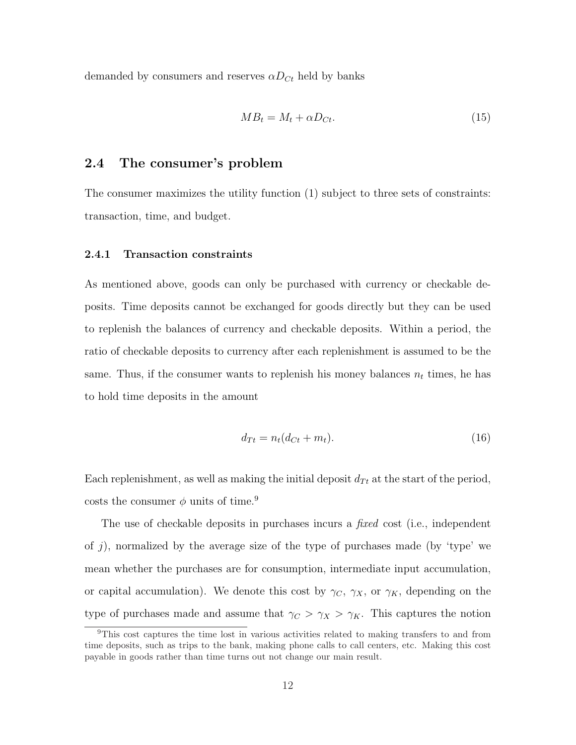demanded by consumers and reserves  $\alpha D_{C_t}$  held by banks

$$
MB_t = M_t + \alpha D_{Ct}.\tag{15}
$$

#### 2.4 The consumer's problem

The consumer maximizes the utility function (1) subject to three sets of constraints: transaction, time, and budget.

#### 2.4.1 Transaction constraints

As mentioned above, goods can only be purchased with currency or checkable deposits. Time deposits cannot be exchanged for goods directly but they can be used to replenish the balances of currency and checkable deposits. Within a period, the ratio of checkable deposits to currency after each replenishment is assumed to be the same. Thus, if the consumer wants to replenish his money balances  $n_t$  times, he has to hold time deposits in the amount

$$
d_{Tt} = n_t(d_{Ct} + m_t). \tag{16}
$$

Each replenishment, as well as making the initial deposit  $d_{Tt}$  at the start of the period, costs the consumer  $\phi$  units of time.<sup>9</sup>

The use of checkable deposits in purchases incurs a *fixed* cost (i.e., independent of j), normalized by the average size of the type of purchases made (by 'type' we mean whether the purchases are for consumption, intermediate input accumulation, or capital accumulation). We denote this cost by  $\gamma_C$ ,  $\gamma_X$ , or  $\gamma_K$ , depending on the type of purchases made and assume that  $\gamma_C > \gamma_X > \gamma_K$ . This captures the notion

<sup>9</sup>This cost captures the time lost in various activities related to making transfers to and from time deposits, such as trips to the bank, making phone calls to call centers, etc. Making this cost payable in goods rather than time turns out not change our main result.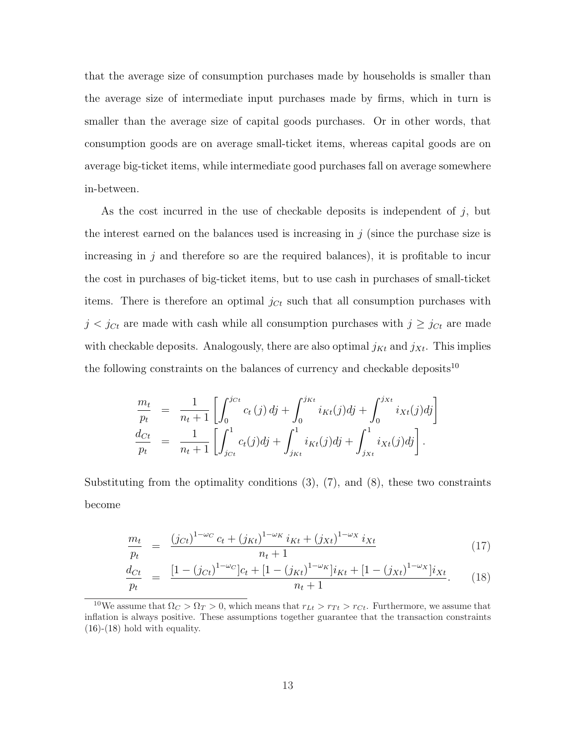that the average size of consumption purchases made by households is smaller than the average size of intermediate input purchases made by firms, which in turn is smaller than the average size of capital goods purchases. Or in other words, that consumption goods are on average small-ticket items, whereas capital goods are on average big-ticket items, while intermediate good purchases fall on average somewhere in-between.

As the cost incurred in the use of checkable deposits is independent of  $j$ , but the interest earned on the balances used is increasing in  $j$  (since the purchase size is increasing in  $j$  and therefore so are the required balances), it is profitable to incur the cost in purchases of big-ticket items, but to use cash in purchases of small-ticket items. There is therefore an optimal  $j_{C_t}$  such that all consumption purchases with  $j < j_{Ct}$  are made with cash while all consumption purchases with  $j \geq j_{Ct}$  are made with checkable deposits. Analogously, there are also optimal  $j_{Kt}$  and  $j_{Xt}$ . This implies the following constraints on the balances of currency and checkable deposits<sup>10</sup>

$$
\frac{m_t}{p_t} = \frac{1}{n_t+1} \left[ \int_0^{j_{Ct}} c_t(j) \, dj + \int_0^{j_{Kt}} i_{Kt}(j) \, dj + \int_0^{j_{Xt}} i_{Xt}(j) \, dj \right] \n\frac{d_{Ct}}{p_t} = \frac{1}{n_t+1} \left[ \int_{j_{Ct}}^1 c_t(j) \, dj + \int_{j_{Kt}}^1 i_{Kt}(j) \, dj + \int_{j_{Xt}}^1 i_{Xt}(j) \, dj \right].
$$

Substituting from the optimality conditions  $(3)$ ,  $(7)$ , and  $(8)$ , these two constraints become

$$
\frac{m_t}{p_t} = \frac{(j_{Ct})^{1-\omega_C} c_t + (j_{Kt})^{1-\omega_K} i_{Kt} + (j_{Xt})^{1-\omega_X} i_{Xt}}{n_t + 1}
$$
\n(17)

$$
\frac{d_{Ct}}{p_t} = \frac{[1 - (j_{Ct})^{1 - \omega_C}]c_t + [1 - (j_{Kt})^{1 - \omega_K}]i_{Kt} + [1 - (j_{Xt})^{1 - \omega_X}]i_{Xt}}{n_t + 1}.
$$
(18)

<sup>&</sup>lt;sup>10</sup>We assume that  $\Omega_C > \Omega_T > 0$ , which means that  $r_{Lt} > r_{Tt} > r_{Ct}$ . Furthermore, we assume that inflation is always positive. These assumptions together guarantee that the transaction constraints  $(16)-(18)$  hold with equality.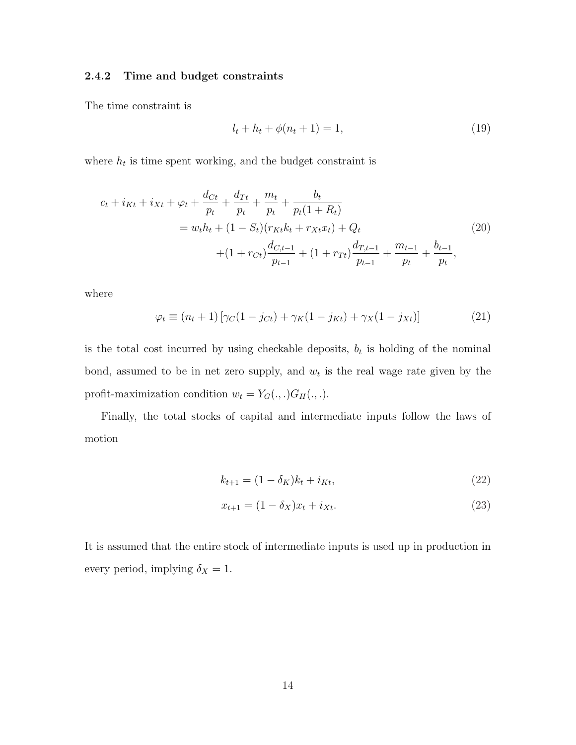#### 2.4.2 Time and budget constraints

The time constraint is

$$
l_t + h_t + \phi(n_t + 1) = 1,\t\t(19)
$$

where  $h_t$  is time spent working, and the budget constraint is

$$
c_{t} + i_{Kt} + i_{Xt} + \varphi_{t} + \frac{d_{Ct}}{p_{t}} + \frac{d_{Tt}}{p_{t}} + \frac{m_{t}}{p_{t}} + \frac{b_{t}}{p_{t}(1+R_{t})}
$$
  
= 
$$
w_{t}h_{t} + (1 - S_{t})(r_{Kt}k_{t} + r_{Xt}x_{t}) + Q_{t}
$$

$$
+ (1 + r_{Ct})\frac{d_{C,t-1}}{p_{t-1}} + (1 + r_{Tt})\frac{d_{T,t-1}}{p_{t-1}} + \frac{m_{t-1}}{p_{t}} + \frac{b_{t-1}}{p_{t}},
$$
(20)

where

$$
\varphi_t \equiv (n_t + 1) \left[ \gamma_C (1 - j_{Ct}) + \gamma_K (1 - j_{Kt}) + \gamma_K (1 - j_{Xt}) \right]
$$
(21)

is the total cost incurred by using checkable deposits,  $b_t$  is holding of the nominal bond, assumed to be in net zero supply, and  $w_t$  is the real wage rate given by the profit-maximization condition  $w_t = Y_G(.,.)G_H(.,.).$ 

Finally, the total stocks of capital and intermediate inputs follow the laws of motion

$$
k_{t+1} = (1 - \delta_K)k_t + i_{Kt},
$$
\n(22)

$$
x_{t+1} = (1 - \delta_X)x_t + i_{Xt}.
$$
\n(23)

It is assumed that the entire stock of intermediate inputs is used up in production in every period, implying  $\delta_X = 1$ .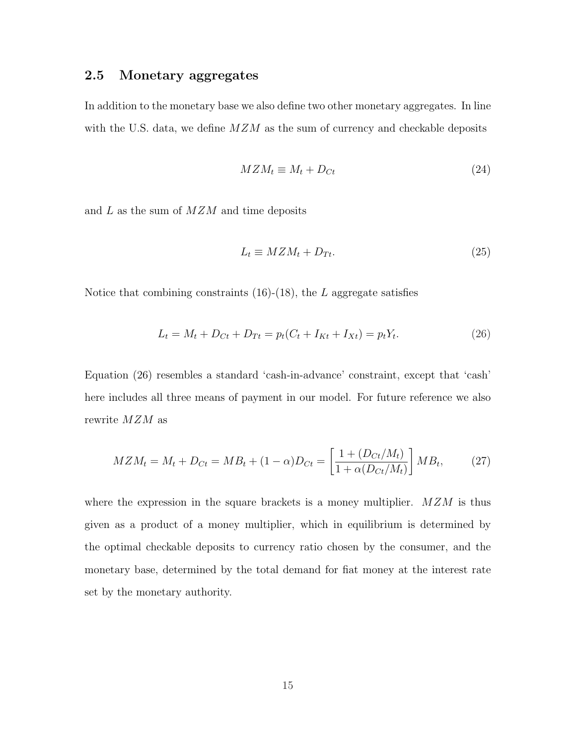### 2.5 Monetary aggregates

In addition to the monetary base we also define two other monetary aggregates. In line with the U.S. data, we define  $MZM$  as the sum of currency and checkable deposits

$$
MZM_t \equiv M_t + D_{Ct} \tag{24}
$$

and  $L$  as the sum of  $MZM$  and time deposits

$$
L_t \equiv M Z M_t + D_{Tt}.\tag{25}
$$

Notice that combining constraints  $(16)-(18)$ , the L aggregate satisfies

$$
L_t = M_t + D_{Ct} + D_{Tt} = p_t(C_t + I_{Kt} + I_{Xt}) = p_t Y_t.
$$
\n(26)

Equation (26) resembles a standard 'cash-in-advance' constraint, except that 'cash' here includes all three means of payment in our model. For future reference we also rewrite MZM as

$$
MZM_t = M_t + D_{Ct} = MB_t + (1 - \alpha)D_{Ct} = \left[\frac{1 + (D_{Ct}/M_t)}{1 + \alpha(D_{Ct}/M_t)}\right] MB_t,
$$
 (27)

where the expression in the square brackets is a money multiplier.  $MZM$  is thus given as a product of a money multiplier, which in equilibrium is determined by the optimal checkable deposits to currency ratio chosen by the consumer, and the monetary base, determined by the total demand for fiat money at the interest rate set by the monetary authority.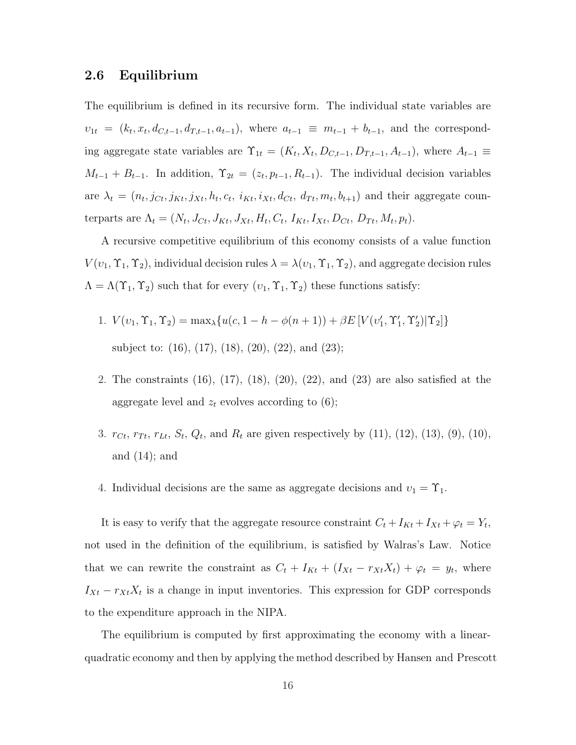#### 2.6 Equilibrium

The equilibrium is defined in its recursive form. The individual state variables are  $v_{1t} = (k_t, x_t, d_{C,t-1}, d_{T,t-1}, a_{t-1})$ , where  $a_{t-1} \equiv m_{t-1} + b_{t-1}$ , and the corresponding aggregate state variables are  $\Upsilon_{1t} = (K_t, X_t, D_{C,t-1}, D_{T,t-1}, A_{t-1})$ , where  $A_{t-1} \equiv$  $M_{t-1} + B_{t-1}$ . In addition,  $\Upsilon_{2t} = (z_t, p_{t-1}, R_{t-1})$ . The individual decision variables are  $\lambda_t = (n_t, j_{Ct}, j_{Kt}, j_{Xt}, h_t, c_t, i_{Kt}, i_{Xt}, d_{Ct}, d_{Tt}, m_t, b_{t+1})$  and their aggregate counterparts are  $\Lambda_t = (N_t, J_{Ct}, J_{Kt}, J_{Xt}, H_t, C_t, I_{Kt}, I_{Xt}, D_{Ct}, D_{Tt}, M_t, p_t).$ 

A recursive competitive equilibrium of this economy consists of a value function  $V(v_1, \Upsilon_1, \Upsilon_2)$ , individual decision rules  $\lambda = \lambda(v_1, \Upsilon_1, \Upsilon_2)$ , and aggregate decision rules  $\Lambda = \Lambda(\Upsilon_1, \Upsilon_2)$  such that for every  $(v_1, \Upsilon_1, \Upsilon_2)$  these functions satisfy:

- 1.  $V(v_1, \Upsilon_1, \Upsilon_2) = \max_{\lambda} \{ u(c, 1 h \phi(n + 1)) + \beta E [V(v'_1, \Upsilon'_1, \Upsilon'_2) | \Upsilon_2] \}$ subject to: (16), (17), (18), (20), (22), and (23);
- 2. The constraints (16), (17), (18), (20), (22), and (23) are also satisfied at the aggregate level and  $z_t$  evolves according to (6);
- 3.  $r_{C_t}, r_{T_t}, r_{Lt}, S_t, Q_t$ , and  $R_t$  are given respectively by (11), (12), (13), (9), (10), and  $(14)$ ; and
- 4. Individual decisions are the same as aggregate decisions and  $v_1 = \Upsilon_1$ .

It is easy to verify that the aggregate resource constraint  $C_t + I_{Kt} + I_{Xt} + \varphi_t = Y_t$ , not used in the definition of the equilibrium, is satisfied by Walras's Law. Notice that we can rewrite the constraint as  $C_t + I_{Kt} + (I_{Xt} - r_{Xt}X_t) + \varphi_t = y_t$ , where  $I_{Xt} - r_{Xt}X_t$  is a change in input inventories. This expression for GDP corresponds to the expenditure approach in the NIPA.

The equilibrium is computed by first approximating the economy with a linearquadratic economy and then by applying the method described by Hansen and Prescott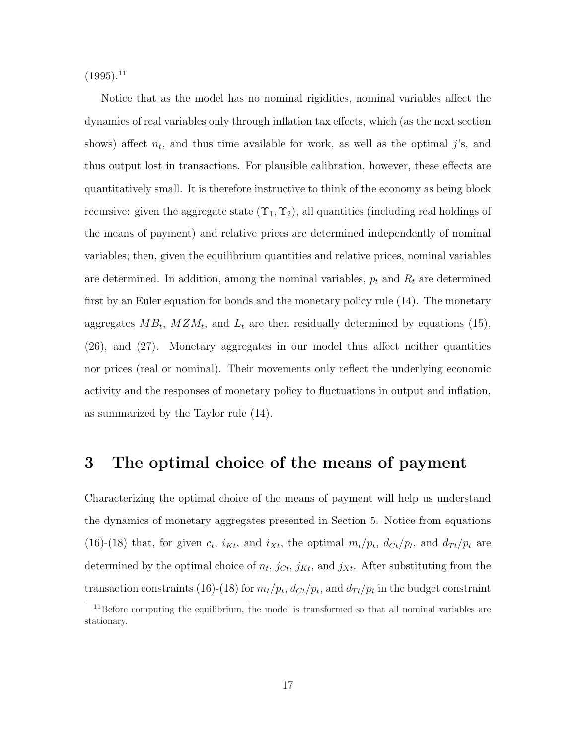$(1995).$ <sup>11</sup>

Notice that as the model has no nominal rigidities, nominal variables affect the dynamics of real variables only through inflation tax effects, which (as the next section shows) affect  $n_t$ , and thus time available for work, as well as the optimal j's, and thus output lost in transactions. For plausible calibration, however, these effects are quantitatively small. It is therefore instructive to think of the economy as being block recursive: given the aggregate state  $(\Upsilon_1, \Upsilon_2)$ , all quantities (including real holdings of the means of payment) and relative prices are determined independently of nominal variables; then, given the equilibrium quantities and relative prices, nominal variables are determined. In addition, among the nominal variables,  $p_t$  and  $R_t$  are determined first by an Euler equation for bonds and the monetary policy rule (14). The monetary aggregates  $MB_t$ ,  $MZM_t$ , and  $L_t$  are then residually determined by equations (15), (26), and (27). Monetary aggregates in our model thus affect neither quantities nor prices (real or nominal). Their movements only reflect the underlying economic activity and the responses of monetary policy to fluctuations in output and inflation, as summarized by the Taylor rule (14).

### 3 The optimal choice of the means of payment

Characterizing the optimal choice of the means of payment will help us understand the dynamics of monetary aggregates presented in Section 5. Notice from equations (16)-(18) that, for given  $c_t$ ,  $i_{Kt}$ , and  $i_{Xt}$ , the optimal  $m_t/p_t$ ,  $d_{Ct}/p_t$ , and  $d_{Tt}/p_t$  are determined by the optimal choice of  $n_t$ ,  $j_{Ct}$ ,  $j_{Kt}$ , and  $j_{Xt}$ . After substituting from the transaction constraints (16)-(18) for  $m_t/p_t$ ,  $d_{C_t}/p_t$ , and  $d_{T_t}/p_t$  in the budget constraint

 $11$ Before computing the equilibrium, the model is transformed so that all nominal variables are stationary.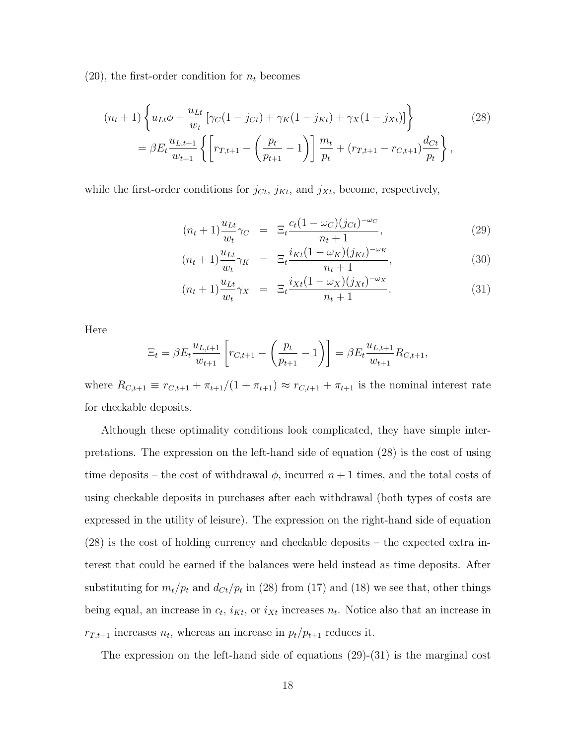$(20)$ , the first-order condition for  $n_t$  becomes

$$
(n_t + 1) \left\{ u_{Lt} \phi + \frac{u_{Lt}}{w_t} \left[ \gamma_C (1 - j_{Ct}) + \gamma_K (1 - j_{Kt}) + \gamma_X (1 - j_{Xt}) \right] \right\}
$$
\n
$$
= \beta E_t \frac{u_{L,t+1}}{w_{t+1}} \left\{ \left[ r_{T,t+1} - \left( \frac{p_t}{p_{t+1}} - 1 \right) \right] \frac{m_t}{p_t} + (r_{T,t+1} - r_{C,t+1}) \frac{d_{Ct}}{p_t} \right\},
$$
\n(28)

while the first-order conditions for  $j_{C_t}$ ,  $j_{K_t}$ , and  $j_{X_t}$ , become, respectively,

$$
(n_t + 1)\frac{u_{Lt}}{w_t}\gamma_C = \Xi_t \frac{c_t(1 - \omega_C)(j_{Ct})^{-\omega_C}}{n_t + 1},
$$
\n(29)

$$
(n_t + 1)\frac{u_{Lt}}{w_t}\gamma_K = \Xi_t \frac{i_{Kt}(1 - \omega_K)(j_{Kt})^{-\omega_K}}{n_t + 1},
$$
\n(30)

$$
(n_t + 1)\frac{u_{Lt}}{w_t}\gamma_X = \Xi_t \frac{i_{Xt}(1 - \omega_X)(j_{Xt})^{-\omega_X}}{n_t + 1}.
$$
 (31)

Here

$$
\Xi_t = \beta E_t \frac{u_{L,t+1}}{w_{t+1}} \left[ r_{C,t+1} - \left( \frac{p_t}{p_{t+1}} - 1 \right) \right] = \beta E_t \frac{u_{L,t+1}}{w_{t+1}} R_{C,t+1},
$$

where  $R_{C,t+1} \equiv r_{C,t+1} + \pi_{t+1}/(1 + \pi_{t+1}) \approx r_{C,t+1} + \pi_{t+1}$  is the nominal interest rate for checkable deposits.

Although these optimality conditions look complicated, they have simple interpretations. The expression on the left-hand side of equation (28) is the cost of using time deposits – the cost of withdrawal  $\phi$ , incurred  $n+1$  times, and the total costs of using checkable deposits in purchases after each withdrawal (both types of costs are expressed in the utility of leisure). The expression on the right-hand side of equation (28) is the cost of holding currency and checkable deposits – the expected extra interest that could be earned if the balances were held instead as time deposits. After substituting for  $m_t/p_t$  and  $d_{Ct}/p_t$  in (28) from (17) and (18) we see that, other things being equal, an increase in  $c_t$ ,  $i_{Kt}$ , or  $i_{Xt}$  increases  $n_t$ . Notice also that an increase in  $r_{T,t+1}$  increases  $n_t$ , whereas an increase in  $p_t/p_{t+1}$  reduces it.

The expression on the left-hand side of equations (29)-(31) is the marginal cost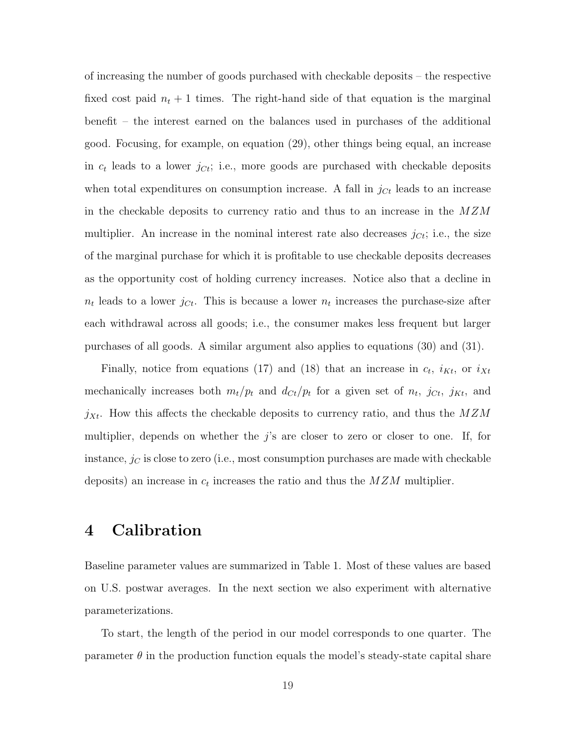of increasing the number of goods purchased with checkable deposits – the respective fixed cost paid  $n_t + 1$  times. The right-hand side of that equation is the marginal benefit – the interest earned on the balances used in purchases of the additional good. Focusing, for example, on equation (29), other things being equal, an increase in  $c_t$  leads to a lower  $j_{C_t}$ ; i.e., more goods are purchased with checkable deposits when total expenditures on consumption increase. A fall in  $j_{C_t}$  leads to an increase in the checkable deposits to currency ratio and thus to an increase in the  $MZM$ multiplier. An increase in the nominal interest rate also decreases  $j_{C_t}$ ; i.e., the size of the marginal purchase for which it is profitable to use checkable deposits decreases as the opportunity cost of holding currency increases. Notice also that a decline in  $n_t$  leads to a lower  $j_{C_t}$ . This is because a lower  $n_t$  increases the purchase-size after each withdrawal across all goods; i.e., the consumer makes less frequent but larger purchases of all goods. A similar argument also applies to equations (30) and (31).

Finally, notice from equations (17) and (18) that an increase in  $c_t$ ,  $i_{Kt}$ , or  $i_{Xt}$ mechanically increases both  $m_t/p_t$  and  $d_{Ct}/p_t$  for a given set of  $n_t$ ,  $j_{Ct}$ ,  $j_{Kt}$ , and  $j_{Xt}$ . How this affects the checkable deposits to currency ratio, and thus the  $MZM$ multiplier, depends on whether the  $j$ 's are closer to zero or closer to one. If, for instance,  $j_C$  is close to zero (i.e., most consumption purchases are made with checkable deposits) an increase in  $c_t$  increases the ratio and thus the  $MZM$  multiplier.

### 4 Calibration

Baseline parameter values are summarized in Table 1. Most of these values are based on U.S. postwar averages. In the next section we also experiment with alternative parameterizations.

To start, the length of the period in our model corresponds to one quarter. The parameter  $\theta$  in the production function equals the model's steady-state capital share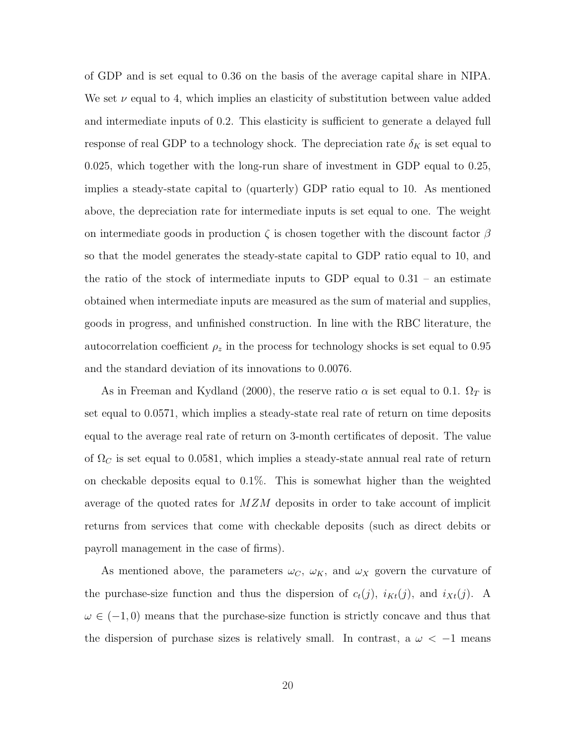of GDP and is set equal to 0.36 on the basis of the average capital share in NIPA. We set  $\nu$  equal to 4, which implies an elasticity of substitution between value added and intermediate inputs of 0.2. This elasticity is sufficient to generate a delayed full response of real GDP to a technology shock. The depreciation rate  $\delta_K$  is set equal to 0.025, which together with the long-run share of investment in GDP equal to 0.25, implies a steady-state capital to (quarterly) GDP ratio equal to 10. As mentioned above, the depreciation rate for intermediate inputs is set equal to one. The weight on intermediate goods in production  $\zeta$  is chosen together with the discount factor  $\beta$ so that the model generates the steady-state capital to GDP ratio equal to 10, and the ratio of the stock of intermediate inputs to GDP equal to 0.31 – an estimate obtained when intermediate inputs are measured as the sum of material and supplies, goods in progress, and unfinished construction. In line with the RBC literature, the autocorrelation coefficient  $\rho_z$  in the process for technology shocks is set equal to 0.95 and the standard deviation of its innovations to 0.0076.

As in Freeman and Kydland (2000), the reserve ratio  $\alpha$  is set equal to 0.1.  $\Omega_T$  is set equal to 0.0571, which implies a steady-state real rate of return on time deposits equal to the average real rate of return on 3-month certificates of deposit. The value of  $\Omega_C$  is set equal to 0.0581, which implies a steady-state annual real rate of return on checkable deposits equal to 0.1%. This is somewhat higher than the weighted average of the quoted rates for MZM deposits in order to take account of implicit returns from services that come with checkable deposits (such as direct debits or payroll management in the case of firms).

As mentioned above, the parameters  $\omega_C$ ,  $\omega_K$ , and  $\omega_X$  govern the curvature of the purchase-size function and thus the dispersion of  $c_t(j)$ ,  $i_{Kt}(j)$ , and  $i_{Xt}(j)$ . A  $\omega \in (-1,0)$  means that the purchase-size function is strictly concave and thus that the dispersion of purchase sizes is relatively small. In contrast, a  $\omega < -1$  means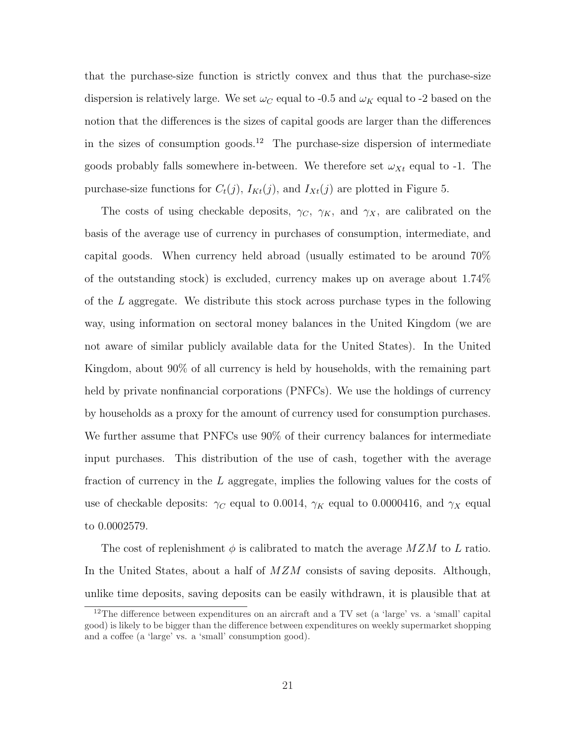that the purchase-size function is strictly convex and thus that the purchase-size dispersion is relatively large. We set  $\omega_C$  equal to -0.5 and  $\omega_K$  equal to -2 based on the notion that the differences is the sizes of capital goods are larger than the differences in the sizes of consumption goods.<sup>12</sup> The purchase-size dispersion of intermediate goods probably falls somewhere in-between. We therefore set  $\omega_{X_t}$  equal to -1. The purchase-size functions for  $C_t(j)$ ,  $I_{Kt}(j)$ , and  $I_{Xt}(j)$  are plotted in Figure 5.

The costs of using checkable deposits,  $\gamma_C$ ,  $\gamma_K$ , and  $\gamma_X$ , are calibrated on the basis of the average use of currency in purchases of consumption, intermediate, and capital goods. When currency held abroad (usually estimated to be around 70% of the outstanding stock) is excluded, currency makes up on average about 1.74% of the  $L$  aggregate. We distribute this stock across purchase types in the following way, using information on sectoral money balances in the United Kingdom (we are not aware of similar publicly available data for the United States). In the United Kingdom, about 90% of all currency is held by households, with the remaining part held by private nonfinancial corporations (PNFCs). We use the holdings of currency by households as a proxy for the amount of currency used for consumption purchases. We further assume that PNFCs use 90% of their currency balances for intermediate input purchases. This distribution of the use of cash, together with the average fraction of currency in the L aggregate, implies the following values for the costs of use of checkable deposits:  $\gamma_C$  equal to 0.0014,  $\gamma_K$  equal to 0.0000416, and  $\gamma_X$  equal to 0.0002579.

The cost of replenishment  $\phi$  is calibrated to match the average  $MZM$  to L ratio. In the United States, about a half of  $MZM$  consists of saving deposits. Although, unlike time deposits, saving deposits can be easily withdrawn, it is plausible that at

<sup>&</sup>lt;sup>12</sup>The difference between expenditures on an aircraft and a TV set (a 'large' vs. a 'small' capital good) is likely to be bigger than the difference between expenditures on weekly supermarket shopping and a coffee (a 'large' vs. a 'small' consumption good).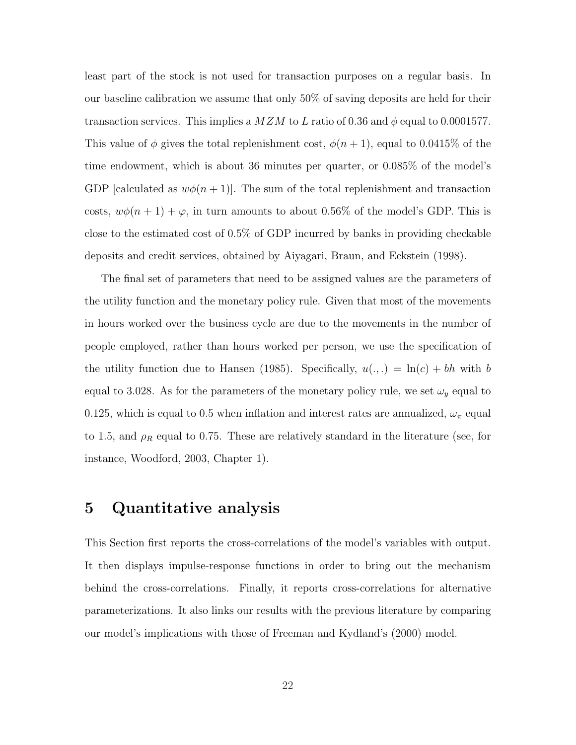least part of the stock is not used for transaction purposes on a regular basis. In our baseline calibration we assume that only 50% of saving deposits are held for their transaction services. This implies a  $M Z M$  to L ratio of 0.36 and  $\phi$  equal to 0.0001577. This value of  $\phi$  gives the total replenishment cost,  $\phi(n+1)$ , equal to 0.0415% of the time endowment, which is about 36 minutes per quarter, or 0.085% of the model's GDP [calculated as  $w\phi(n+1)$ ]. The sum of the total replenishment and transaction costs,  $w\phi(n+1) + \varphi$ , in turn amounts to about 0.56% of the model's GDP. This is close to the estimated cost of 0.5% of GDP incurred by banks in providing checkable deposits and credit services, obtained by Aiyagari, Braun, and Eckstein (1998).

The final set of parameters that need to be assigned values are the parameters of the utility function and the monetary policy rule. Given that most of the movements in hours worked over the business cycle are due to the movements in the number of people employed, rather than hours worked per person, we use the specification of the utility function due to Hansen (1985). Specifically,  $u(.,.) = \ln(c) + bh$  with b equal to 3.028. As for the parameters of the monetary policy rule, we set  $\omega_y$  equal to 0.125, which is equal to 0.5 when inflation and interest rates are annualized,  $\omega_{\pi}$  equal to 1.5, and  $\rho_R$  equal to 0.75. These are relatively standard in the literature (see, for instance, Woodford, 2003, Chapter 1).

### 5 Quantitative analysis

This Section first reports the cross-correlations of the model's variables with output. It then displays impulse-response functions in order to bring out the mechanism behind the cross-correlations. Finally, it reports cross-correlations for alternative parameterizations. It also links our results with the previous literature by comparing our model's implications with those of Freeman and Kydland's (2000) model.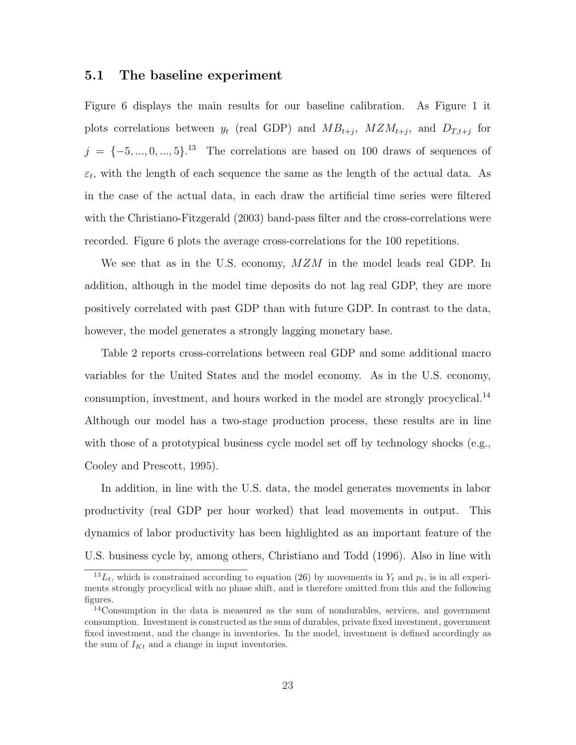#### 5.1 The baseline experiment

Figure 6 displays the main results for our baseline calibration. As Figure 1 it plots correlations between  $y_t$  (real GDP) and  $MB_{t+j}$ ,  $MZM_{t+j}$ , and  $D_{T,t+j}$  for  $j = \{-5, ..., 0, ..., 5\}$ <sup>13</sup> The correlations are based on 100 draws of sequences of  $\varepsilon_t$ , with the length of each sequence the same as the length of the actual data. As in the case of the actual data, in each draw the artificial time series were filtered with the Christiano-Fitzgerald (2003) band-pass filter and the cross-correlations were recorded. Figure 6 plots the average cross-correlations for the 100 repetitions.

We see that as in the U.S. economy,  $MZM$  in the model leads real GDP. In addition, although in the model time deposits do not lag real GDP, they are more positively correlated with past GDP than with future GDP. In contrast to the data, however, the model generates a strongly lagging monetary base.

Table 2 reports cross-correlations between real GDP and some additional macro variables for the United States and the model economy. As in the U.S. economy, consumption, investment, and hours worked in the model are strongly procyclical.<sup>14</sup> Although our model has a two-stage production process, these results are in line with those of a prototypical business cycle model set off by technology shocks (e.g., Cooley and Prescott, 1995).

In addition, in line with the U.S. data, the model generates movements in labor productivity (real GDP per hour worked) that lead movements in output. This dynamics of labor productivity has been highlighted as an important feature of the U.S. business cycle by, among others, Christiano and Todd (1996). Also in line with

 $^{13}L_t$ , which is constrained according to equation (26) by movements in  $Y_t$  and  $p_t$ , is in all experiments strongly procyclical with no phase shift, and is therefore omitted from this and the following figures.

<sup>14</sup>Consumption in the data is measured as the sum of nondurables, services, and government consumption. Investment is constructed as the sum of durables, private fixed investment, government fixed investment, and the change in inventories. In the model, investment is defined accordingly as the sum of  $I_{Kt}$  and a change in input inventories.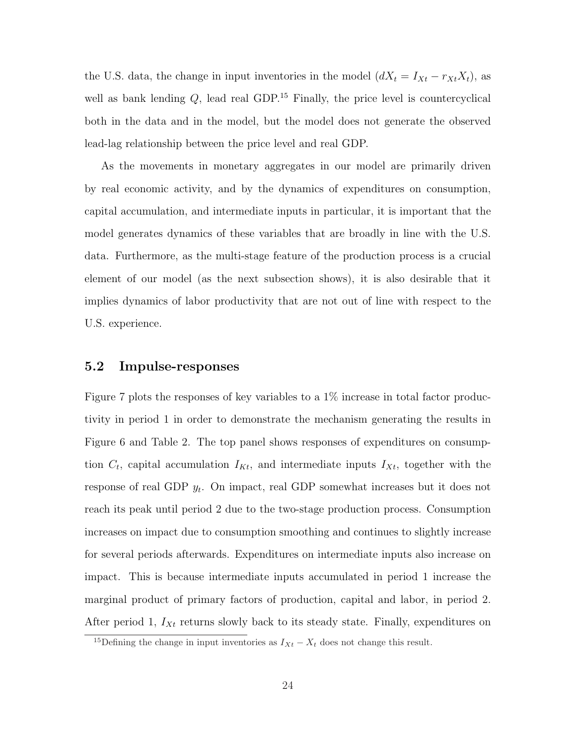the U.S. data, the change in input inventories in the model  $(dX_t = I_{Xt} - r_{Xt}X_t)$ , as well as bank lending  $Q$ , lead real GDP.<sup>15</sup> Finally, the price level is countercyclical both in the data and in the model, but the model does not generate the observed lead-lag relationship between the price level and real GDP.

As the movements in monetary aggregates in our model are primarily driven by real economic activity, and by the dynamics of expenditures on consumption, capital accumulation, and intermediate inputs in particular, it is important that the model generates dynamics of these variables that are broadly in line with the U.S. data. Furthermore, as the multi-stage feature of the production process is a crucial element of our model (as the next subsection shows), it is also desirable that it implies dynamics of labor productivity that are not out of line with respect to the U.S. experience.

#### 5.2 Impulse-responses

Figure 7 plots the responses of key variables to a 1% increase in total factor productivity in period 1 in order to demonstrate the mechanism generating the results in Figure 6 and Table 2. The top panel shows responses of expenditures on consumption  $C_t$ , capital accumulation  $I_{Kt}$ , and intermediate inputs  $I_{Xt}$ , together with the response of real GDP  $y_t$ . On impact, real GDP somewhat increases but it does not reach its peak until period 2 due to the two-stage production process. Consumption increases on impact due to consumption smoothing and continues to slightly increase for several periods afterwards. Expenditures on intermediate inputs also increase on impact. This is because intermediate inputs accumulated in period 1 increase the marginal product of primary factors of production, capital and labor, in period 2. After period 1,  $I_{Xt}$  returns slowly back to its steady state. Finally, expenditures on

<sup>&</sup>lt;sup>15</sup>Defining the change in input inventories as  $I_{Xt} - X_t$  does not change this result.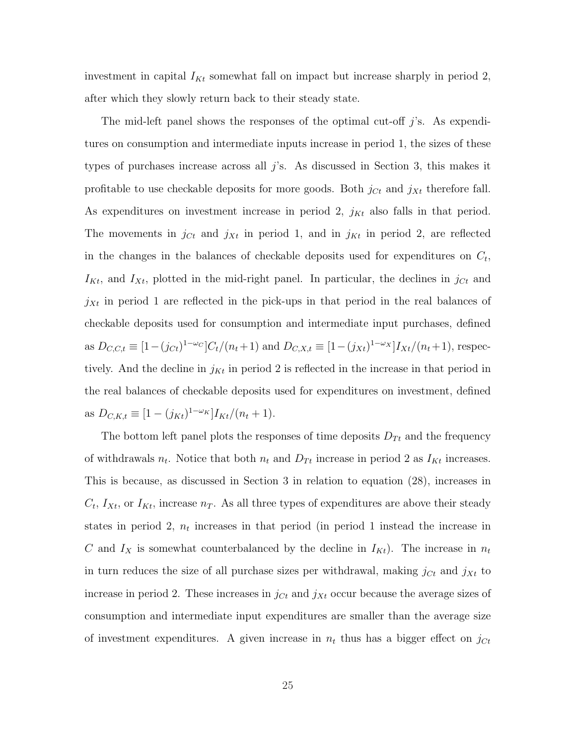investment in capital  $I_{Kt}$  somewhat fall on impact but increase sharply in period 2, after which they slowly return back to their steady state.

The mid-left panel shows the responses of the optimal cut-off j's. As expenditures on consumption and intermediate inputs increase in period 1, the sizes of these types of purchases increase across all  $j$ 's. As discussed in Section 3, this makes it profitable to use checkable deposits for more goods. Both  $j_{C_t}$  and  $j_{X_t}$  therefore fall. As expenditures on investment increase in period 2,  $j_{Kt}$  also falls in that period. The movements in  $j_{C_t}$  and  $j_{X_t}$  in period 1, and in  $j_{K_t}$  in period 2, are reflected in the changes in the balances of checkable deposits used for expenditures on  $C_t$ ,  $I_{Kt}$ , and  $I_{Xt}$ , plotted in the mid-right panel. In particular, the declines in  $j_{Ct}$  and  $j_{Xt}$  in period 1 are reflected in the pick-ups in that period in the real balances of checkable deposits used for consumption and intermediate input purchases, defined as  $D_{C,C,t} \equiv [1-(j_{Ct})^{1-\omega_C}]C_t/(n_t+1)$  and  $D_{C,X,t} \equiv [1-(j_{Xt})^{1-\omega_X}]I_{Xt}/(n_t+1)$ , respectively. And the decline in  $j_{Kt}$  in period 2 is reflected in the increase in that period in the real balances of checkable deposits used for expenditures on investment, defined as  $D_{C,K,t} \equiv [1 - (j_{Kt})^{1-\omega_K}]I_{Kt}/(n_t+1).$ 

The bottom left panel plots the responses of time deposits  $D_{Tt}$  and the frequency of withdrawals  $n_t$ . Notice that both  $n_t$  and  $D_{Tt}$  increase in period 2 as  $I_{Kt}$  increases. This is because, as discussed in Section 3 in relation to equation (28), increases in  $C_t$ ,  $I_{Xt}$ , or  $I_{Kt}$ , increase  $n_T$ . As all three types of expenditures are above their steady states in period 2,  $n_t$  increases in that period (in period 1 instead the increase in C and  $I_X$  is somewhat counterbalanced by the decline in  $I_{Kt}$ ). The increase in  $n_t$ in turn reduces the size of all purchase sizes per withdrawal, making  $j_{C_t}$  and  $j_{X_t}$  to increase in period 2. These increases in  $j_{Ct}$  and  $j_{Xt}$  occur because the average sizes of consumption and intermediate input expenditures are smaller than the average size of investment expenditures. A given increase in  $n_t$  thus has a bigger effect on  $j_{Ct}$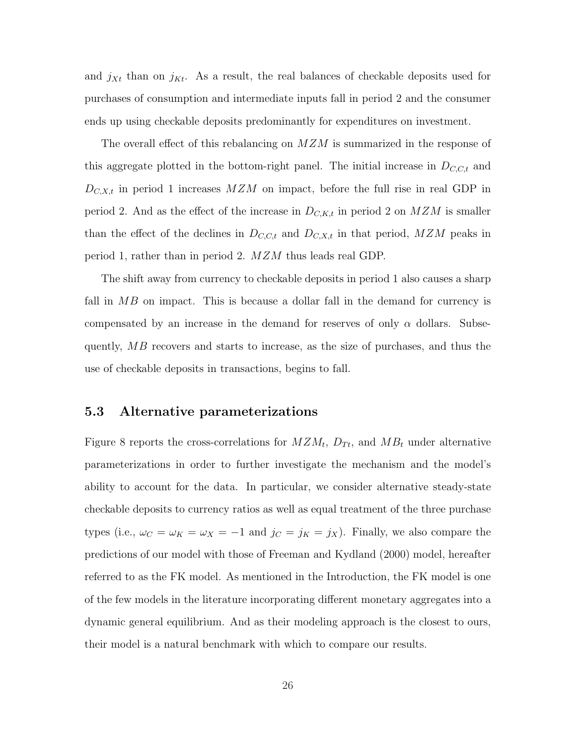and  $j_{Xt}$  than on  $j_{Kt}$ . As a result, the real balances of checkable deposits used for purchases of consumption and intermediate inputs fall in period 2 and the consumer ends up using checkable deposits predominantly for expenditures on investment.

The overall effect of this rebalancing on MZM is summarized in the response of this aggregate plotted in the bottom-right panel. The initial increase in  $D_{C,C,t}$  and  $D_{C,X,t}$  in period 1 increases  $MZM$  on impact, before the full rise in real GDP in period 2. And as the effect of the increase in  $D_{C,K,t}$  in period 2 on  $MZM$  is smaller than the effect of the declines in  $D_{C,C,t}$  and  $D_{C,X,t}$  in that period,  $MZM$  peaks in period 1, rather than in period 2. MZM thus leads real GDP.

The shift away from currency to checkable deposits in period 1 also causes a sharp fall in  $MB$  on impact. This is because a dollar fall in the demand for currency is compensated by an increase in the demand for reserves of only  $\alpha$  dollars. Subsequently, MB recovers and starts to increase, as the size of purchases, and thus the use of checkable deposits in transactions, begins to fall.

#### 5.3 Alternative parameterizations

Figure 8 reports the cross-correlations for  $M Z M_t$ ,  $D_{T_t}$ , and  $M B_t$  under alternative parameterizations in order to further investigate the mechanism and the model's ability to account for the data. In particular, we consider alternative steady-state checkable deposits to currency ratios as well as equal treatment of the three purchase types (i.e.,  $\omega_C = \omega_K = \omega_X = -1$  and  $j_C = j_K = j_X$ ). Finally, we also compare the predictions of our model with those of Freeman and Kydland (2000) model, hereafter referred to as the FK model. As mentioned in the Introduction, the FK model is one of the few models in the literature incorporating different monetary aggregates into a dynamic general equilibrium. And as their modeling approach is the closest to ours, their model is a natural benchmark with which to compare our results.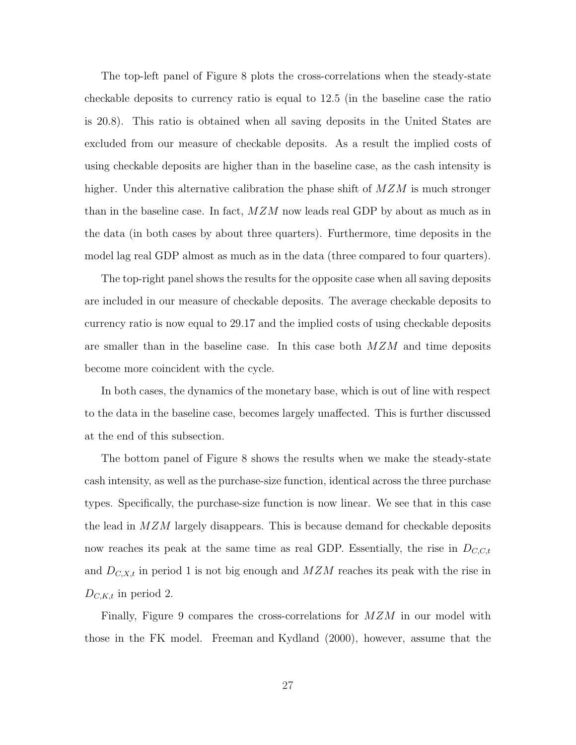The top-left panel of Figure 8 plots the cross-correlations when the steady-state checkable deposits to currency ratio is equal to 12.5 (in the baseline case the ratio is 20.8). This ratio is obtained when all saving deposits in the United States are excluded from our measure of checkable deposits. As a result the implied costs of using checkable deposits are higher than in the baseline case, as the cash intensity is higher. Under this alternative calibration the phase shift of  $MZM$  is much stronger than in the baseline case. In fact,  $MZM$  now leads real GDP by about as much as in the data (in both cases by about three quarters). Furthermore, time deposits in the model lag real GDP almost as much as in the data (three compared to four quarters).

The top-right panel shows the results for the opposite case when all saving deposits are included in our measure of checkable deposits. The average checkable deposits to currency ratio is now equal to 29.17 and the implied costs of using checkable deposits are smaller than in the baseline case. In this case both  $MZM$  and time deposits become more coincident with the cycle.

In both cases, the dynamics of the monetary base, which is out of line with respect to the data in the baseline case, becomes largely unaffected. This is further discussed at the end of this subsection.

The bottom panel of Figure 8 shows the results when we make the steady-state cash intensity, as well as the purchase-size function, identical across the three purchase types. Specifically, the purchase-size function is now linear. We see that in this case the lead in  $MZM$  largely disappears. This is because demand for checkable deposits now reaches its peak at the same time as real GDP. Essentially, the rise in  $D_{C,C,t}$ and  $D_{C,X,t}$  in period 1 is not big enough and  $MZM$  reaches its peak with the rise in  $D_{C,K,t}$  in period 2.

Finally, Figure 9 compares the cross-correlations for  $MZM$  in our model with those in the FK model. Freeman and Kydland (2000), however, assume that the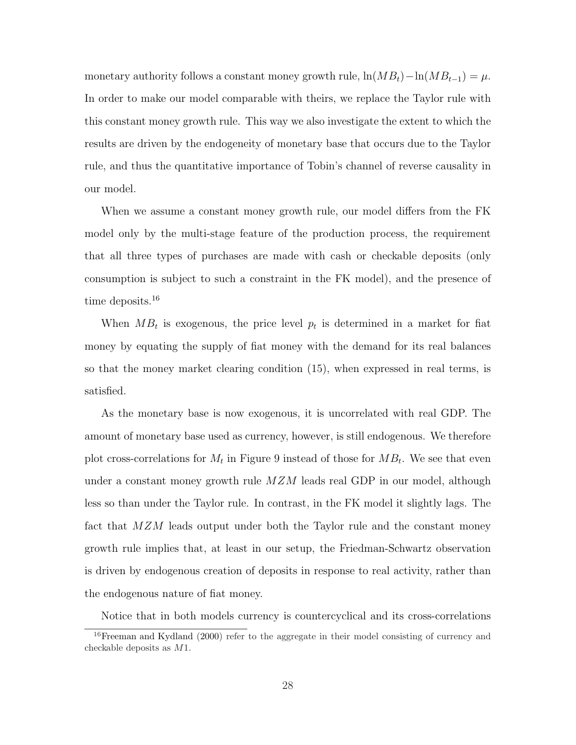monetary authority follows a constant money growth rule,  $\ln(MB_t) - \ln(MB_{t-1}) = \mu$ . In order to make our model comparable with theirs, we replace the Taylor rule with this constant money growth rule. This way we also investigate the extent to which the results are driven by the endogeneity of monetary base that occurs due to the Taylor rule, and thus the quantitative importance of Tobin's channel of reverse causality in our model.

When we assume a constant money growth rule, our model differs from the FK model only by the multi-stage feature of the production process, the requirement that all three types of purchases are made with cash or checkable deposits (only consumption is subject to such a constraint in the FK model), and the presence of time deposits.<sup>16</sup>

When  $MB_t$  is exogenous, the price level  $p_t$  is determined in a market for fiat money by equating the supply of fiat money with the demand for its real balances so that the money market clearing condition (15), when expressed in real terms, is satisfied.

As the monetary base is now exogenous, it is uncorrelated with real GDP. The amount of monetary base used as currency, however, is still endogenous. We therefore plot cross-correlations for  $M_t$  in Figure 9 instead of those for  $MB_t$ . We see that even under a constant money growth rule  $MZM$  leads real GDP in our model, although less so than under the Taylor rule. In contrast, in the FK model it slightly lags. The fact that MZM leads output under both the Taylor rule and the constant money growth rule implies that, at least in our setup, the Friedman-Schwartz observation is driven by endogenous creation of deposits in response to real activity, rather than the endogenous nature of fiat money.

Notice that in both models currency is countercyclical and its cross-correlations

<sup>&</sup>lt;sup>16</sup>Freeman and Kydland (2000) refer to the aggregate in their model consisting of currency and checkable deposits as M1.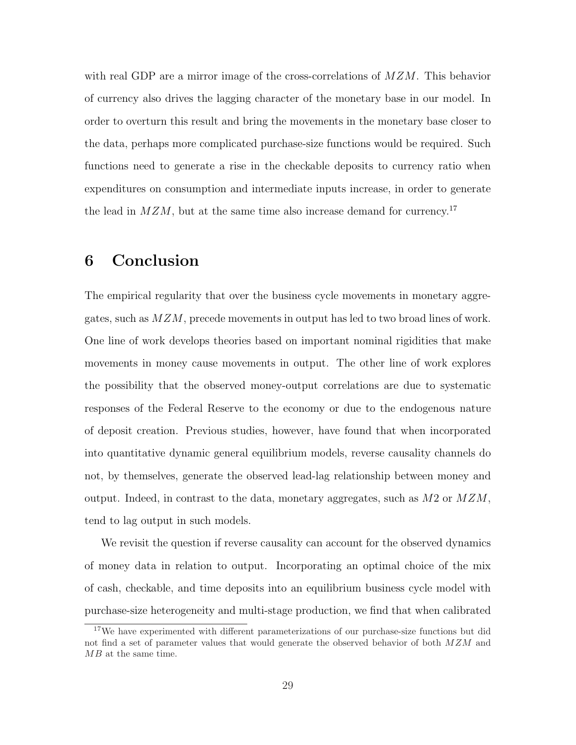with real GDP are a mirror image of the cross-correlations of  $MZM$ . This behavior of currency also drives the lagging character of the monetary base in our model. In order to overturn this result and bring the movements in the monetary base closer to the data, perhaps more complicated purchase-size functions would be required. Such functions need to generate a rise in the checkable deposits to currency ratio when expenditures on consumption and intermediate inputs increase, in order to generate the lead in  $MZM$ , but at the same time also increase demand for currency.<sup>17</sup>

# 6 Conclusion

The empirical regularity that over the business cycle movements in monetary aggregates, such as  $MZM$ , precede movements in output has led to two broad lines of work. One line of work develops theories based on important nominal rigidities that make movements in money cause movements in output. The other line of work explores the possibility that the observed money-output correlations are due to systematic responses of the Federal Reserve to the economy or due to the endogenous nature of deposit creation. Previous studies, however, have found that when incorporated into quantitative dynamic general equilibrium models, reverse causality channels do not, by themselves, generate the observed lead-lag relationship between money and output. Indeed, in contrast to the data, monetary aggregates, such as  $M2$  or  $MZM$ , tend to lag output in such models.

We revisit the question if reverse causality can account for the observed dynamics of money data in relation to output. Incorporating an optimal choice of the mix of cash, checkable, and time deposits into an equilibrium business cycle model with purchase-size heterogeneity and multi-stage production, we find that when calibrated

<sup>&</sup>lt;sup>17</sup>We have experimented with different parameterizations of our purchase-size functions but did not find a set of parameter values that would generate the observed behavior of both  $MZM$  and MB at the same time.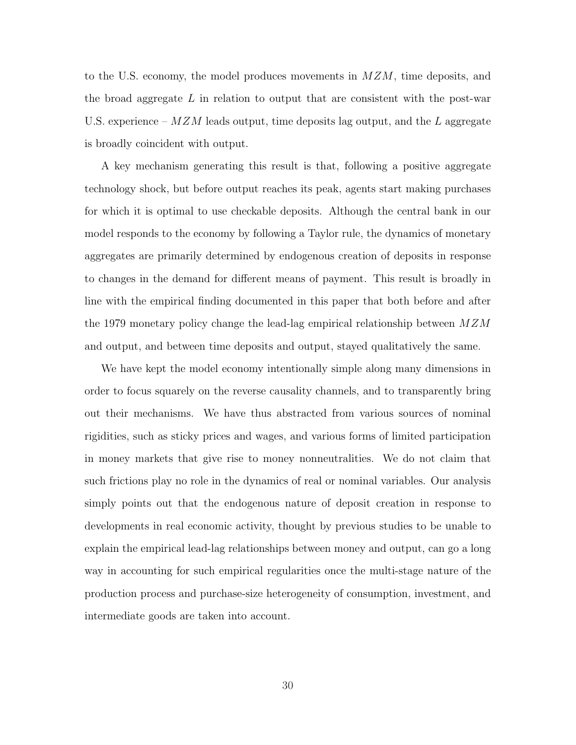to the U.S. economy, the model produces movements in  $M Z M$ , time deposits, and the broad aggregate  $L$  in relation to output that are consistent with the post-war U.S. experience –  $MZM$  leads output, time deposits lag output, and the L aggregate is broadly coincident with output.

A key mechanism generating this result is that, following a positive aggregate technology shock, but before output reaches its peak, agents start making purchases for which it is optimal to use checkable deposits. Although the central bank in our model responds to the economy by following a Taylor rule, the dynamics of monetary aggregates are primarily determined by endogenous creation of deposits in response to changes in the demand for different means of payment. This result is broadly in line with the empirical finding documented in this paper that both before and after the 1979 monetary policy change the lead-lag empirical relationship between  $MZM$ and output, and between time deposits and output, stayed qualitatively the same.

We have kept the model economy intentionally simple along many dimensions in order to focus squarely on the reverse causality channels, and to transparently bring out their mechanisms. We have thus abstracted from various sources of nominal rigidities, such as sticky prices and wages, and various forms of limited participation in money markets that give rise to money nonneutralities. We do not claim that such frictions play no role in the dynamics of real or nominal variables. Our analysis simply points out that the endogenous nature of deposit creation in response to developments in real economic activity, thought by previous studies to be unable to explain the empirical lead-lag relationships between money and output, can go a long way in accounting for such empirical regularities once the multi-stage nature of the production process and purchase-size heterogeneity of consumption, investment, and intermediate goods are taken into account.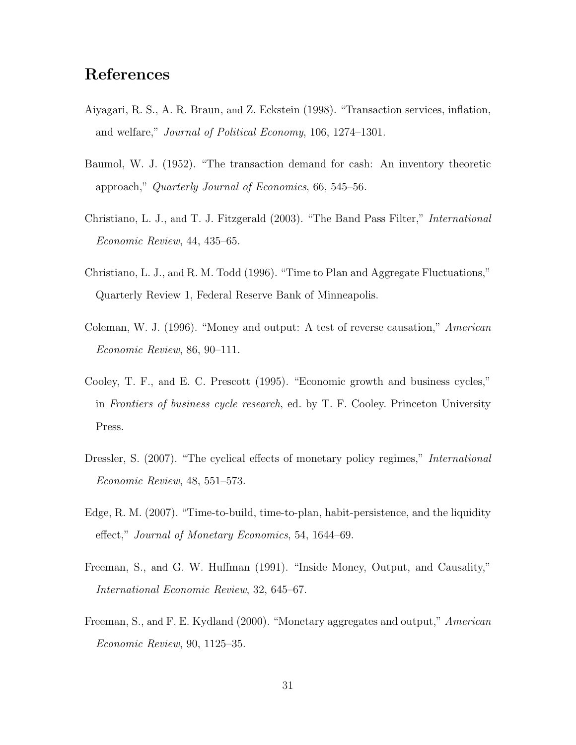# References

- Aiyagari, R. S., A. R. Braun, and Z. Eckstein (1998). "Transaction services, inflation, and welfare," Journal of Political Economy, 106, 1274–1301.
- Baumol, W. J. (1952). "The transaction demand for cash: An inventory theoretic approach," Quarterly Journal of Economics, 66, 545–56.
- Christiano, L. J., and T. J. Fitzgerald (2003). "The Band Pass Filter," International Economic Review, 44, 435–65.
- Christiano, L. J., and R. M. Todd (1996). "Time to Plan and Aggregate Fluctuations," Quarterly Review 1, Federal Reserve Bank of Minneapolis.
- Coleman, W. J. (1996). "Money and output: A test of reverse causation," American Economic Review, 86, 90–111.
- Cooley, T. F., and E. C. Prescott (1995). "Economic growth and business cycles," in Frontiers of business cycle research, ed. by T. F. Cooley. Princeton University Press.
- Dressler, S. (2007). "The cyclical effects of monetary policy regimes," *International* Economic Review, 48, 551–573.
- Edge, R. M. (2007). "Time-to-build, time-to-plan, habit-persistence, and the liquidity effect," Journal of Monetary Economics, 54, 1644–69.
- Freeman, S., and G. W. Huffman (1991). "Inside Money, Output, and Causality," International Economic Review, 32, 645–67.
- Freeman, S., and F. E. Kydland (2000). "Monetary aggregates and output," American Economic Review, 90, 1125–35.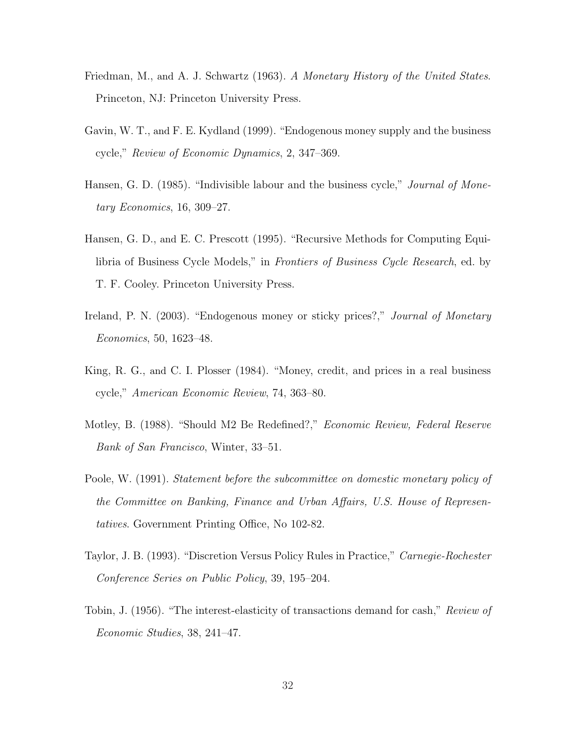- Friedman, M., and A. J. Schwartz (1963). A Monetary History of the United States. Princeton, NJ: Princeton University Press.
- Gavin, W. T., and F. E. Kydland (1999). "Endogenous money supply and the business cycle," Review of Economic Dynamics, 2, 347–369.
- Hansen, G. D. (1985). "Indivisible labour and the business cycle," *Journal of Mone*tary Economics, 16, 309–27.
- Hansen, G. D., and E. C. Prescott (1995). "Recursive Methods for Computing Equilibria of Business Cycle Models," in Frontiers of Business Cycle Research, ed. by T. F. Cooley. Princeton University Press.
- Ireland, P. N. (2003). "Endogenous money or sticky prices?," *Journal of Monetary* Economics, 50, 1623–48.
- King, R. G., and C. I. Plosser (1984). "Money, credit, and prices in a real business cycle," American Economic Review, 74, 363–80.
- Motley, B. (1988). "Should M2 Be Redefined?," Economic Review, Federal Reserve Bank of San Francisco, Winter, 33–51.
- Poole, W. (1991). Statement before the subcommittee on domestic monetary policy of the Committee on Banking, Finance and Urban Affairs, U.S. House of Representatives. Government Printing Office, No 102-82.
- Taylor, J. B. (1993). "Discretion Versus Policy Rules in Practice," Carnegie-Rochester Conference Series on Public Policy, 39, 195–204.
- Tobin, J. (1956). "The interest-elasticity of transactions demand for cash," Review of Economic Studies, 38, 241–47.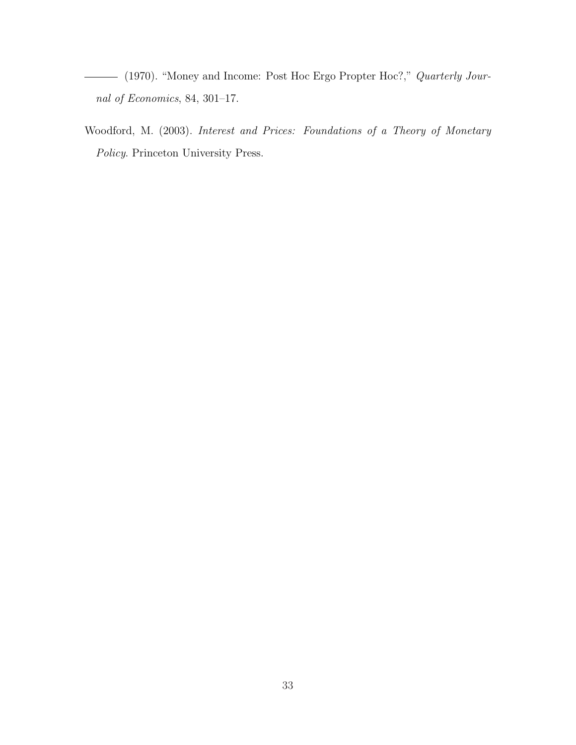(1970). "Money and Income: Post Hoc Ergo Propter Hoc?," Quarterly Journal of Economics, 84, 301–17.

Woodford, M. (2003). Interest and Prices: Foundations of a Theory of Monetary Policy. Princeton University Press.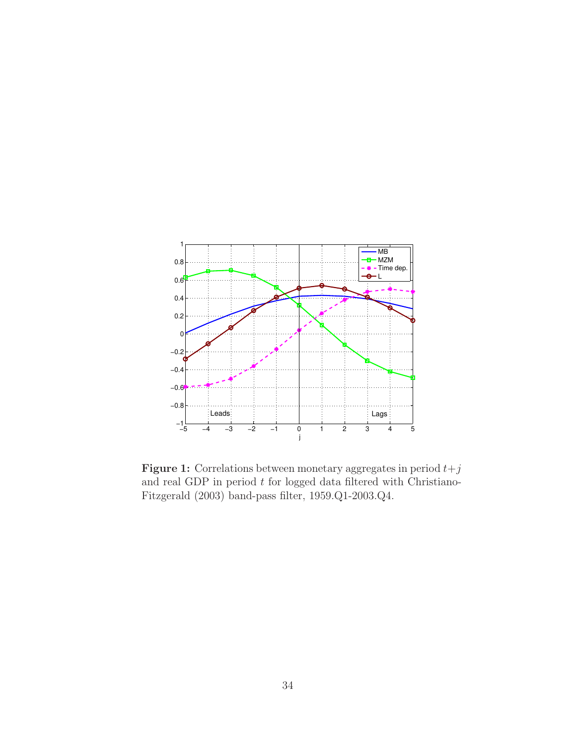

**Figure 1:** Correlations between monetary aggregates in period  $t+j$ and real GDP in period  $t$  for logged data filtered with Christiano-Fitzgerald (2003) band-pass filter, 1959.Q1-2003.Q4.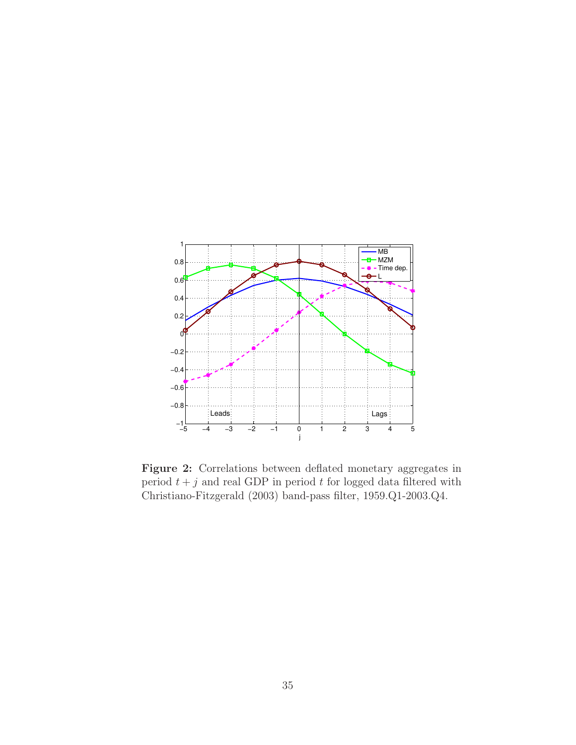

Figure 2: Correlations between deflated monetary aggregates in period  $t + j$  and real GDP in period t for logged data filtered with Christiano-Fitzgerald (2003) band-pass filter, 1959.Q1-2003.Q4.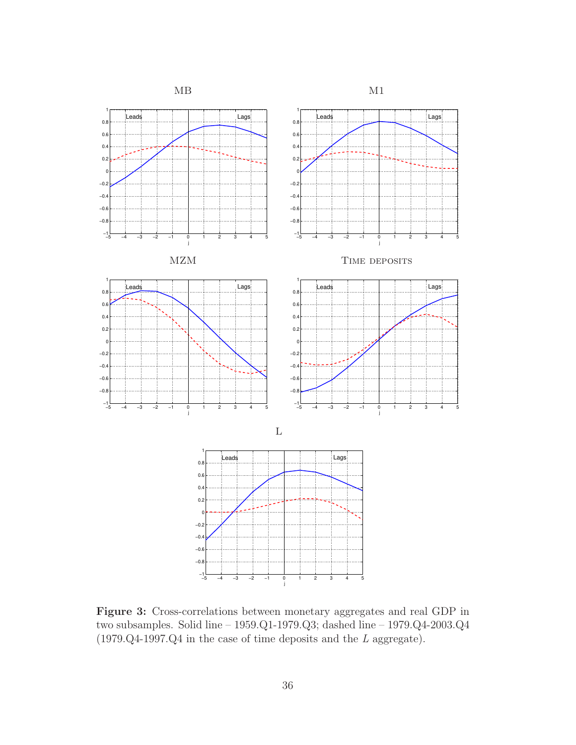

Figure 3: Cross-correlations between monetary aggregates and real GDP in two subsamples. Solid line – 1959.Q1-1979.Q3; dashed line – 1979.Q4-2003.Q4 (1979.Q4-1997.Q4 in the case of time deposits and the L aggregate).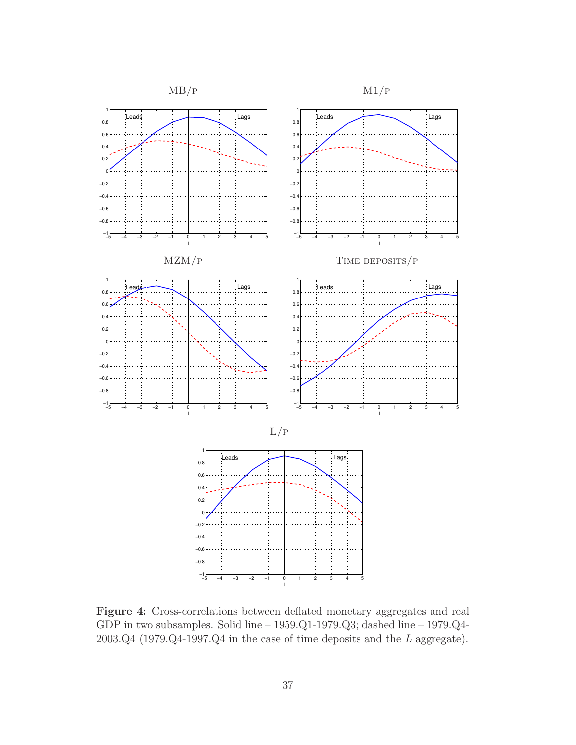

Figure 4: Cross-correlations between deflated monetary aggregates and real GDP in two subsamples. Solid line – 1959.Q1-1979.Q3; dashed line – 1979.Q4- 2003.Q4 (1979.Q4-1997.Q4 in the case of time deposits and the L aggregate).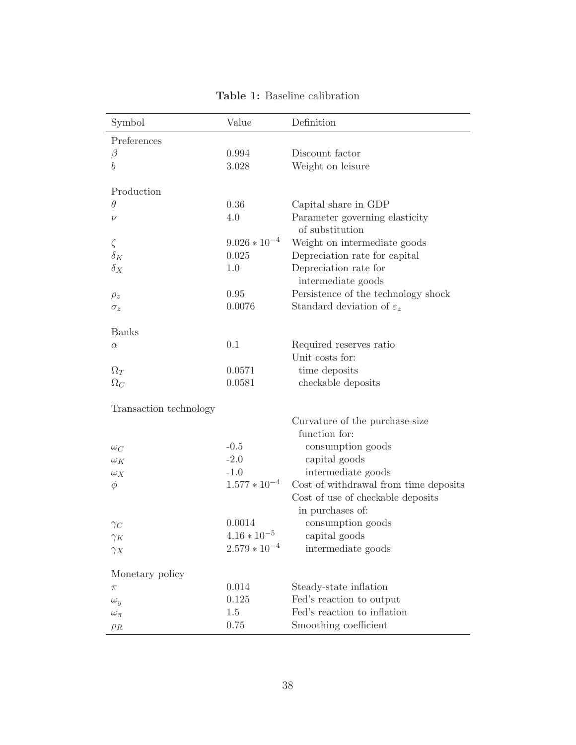| Symbol                 | Value             | Definition                                                                                     |
|------------------------|-------------------|------------------------------------------------------------------------------------------------|
| Preferences            |                   |                                                                                                |
| $\beta$                | 0.994             | Discount factor                                                                                |
| $\boldsymbol{b}$       | 3.028             | Weight on leisure                                                                              |
| Production             |                   |                                                                                                |
| $\theta$               | 0.36              | Capital share in GDP                                                                           |
| $\nu$                  | 4.0               | Parameter governing elasticity<br>of substitution                                              |
| $\zeta$                | $9.026 * 10^{-4}$ | Weight on intermediate goods                                                                   |
| $\delta_K$             | 0.025             | Depreciation rate for capital                                                                  |
| $\delta_X$             | 1.0               | Depreciation rate for<br>intermediate goods                                                    |
| $\rho_z$               | 0.95              | Persistence of the technology shock                                                            |
| $\sigma_z$             | 0.0076            | Standard deviation of $\varepsilon_z$                                                          |
|                        |                   |                                                                                                |
| <b>Banks</b>           |                   |                                                                                                |
| $\alpha$               | 0.1               | Required reserves ratio                                                                        |
|                        |                   | Unit costs for:                                                                                |
| $\Omega_T$             | 0.0571            | time deposits                                                                                  |
| $\Omega_C$             | 0.0581            | checkable deposits                                                                             |
| Transaction technology |                   |                                                                                                |
|                        |                   | Curvature of the purchase-size                                                                 |
|                        |                   | function for:                                                                                  |
| $\omega_C$             | $-0.5$            | consumption goods                                                                              |
| $\omega_K$             | $-2.0$            | capital goods                                                                                  |
| $\omega_X$             | $-1.0$            | intermediate goods                                                                             |
| $\phi$                 | $1.577 * 10^{-4}$ | Cost of withdrawal from time deposits<br>Cost of use of checkable deposits<br>in purchases of: |
|                        | 0.0014            | consumption goods                                                                              |
| $\gamma_C$             | $4.16 * 10^{-5}$  | capital goods                                                                                  |
| $\gamma_K$             | $2.579 * 10^{-4}$ | intermediate goods                                                                             |
| $\gamma_X$             |                   |                                                                                                |
| Monetary policy        |                   |                                                                                                |
| π                      | 0.014             | Steady-state inflation                                                                         |
| $\omega_y$             | 0.125             | Fed's reaction to output                                                                       |
| $\omega_{\pi}$         | 1.5               | Fed's reaction to inflation                                                                    |
| $\rho_R$               | 0.75              | Smoothing coefficient                                                                          |

Table 1: Baseline calibration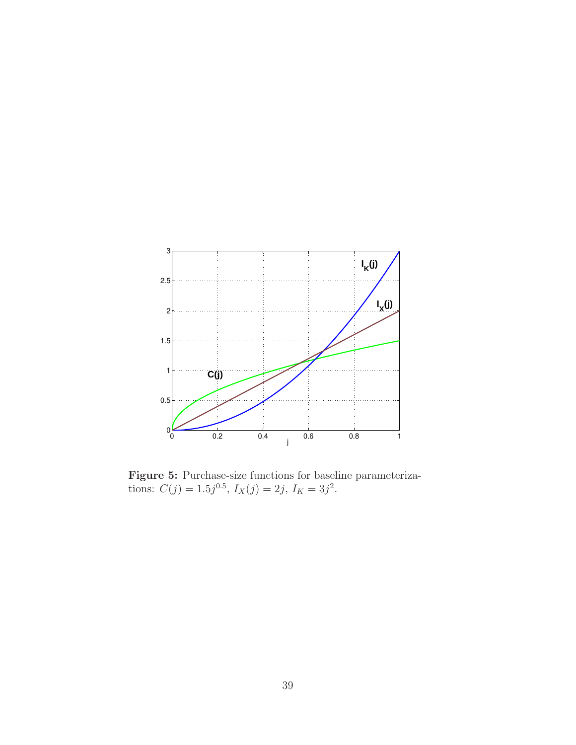

Figure 5: Purchase-size functions for baseline parameterizations:  $C(j) = 1.5j^{0.5}, I_X(j) = 2j, I_K = 3j^2.$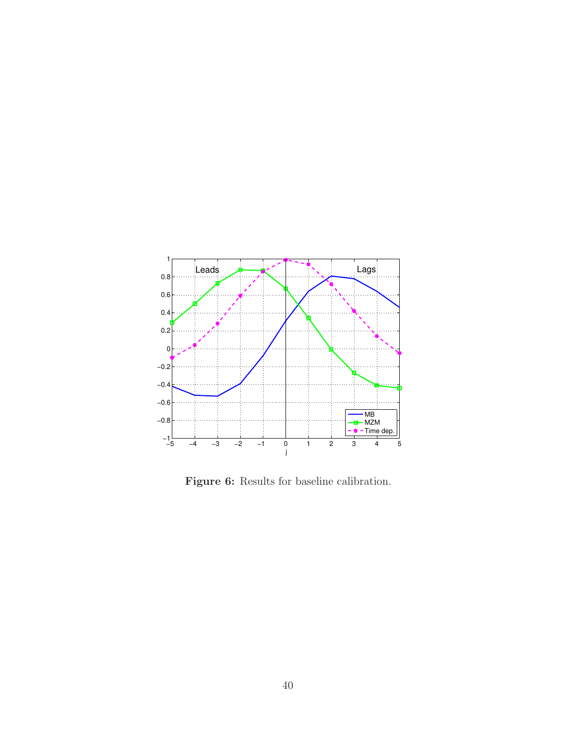

Figure 6: Results for baseline calibration.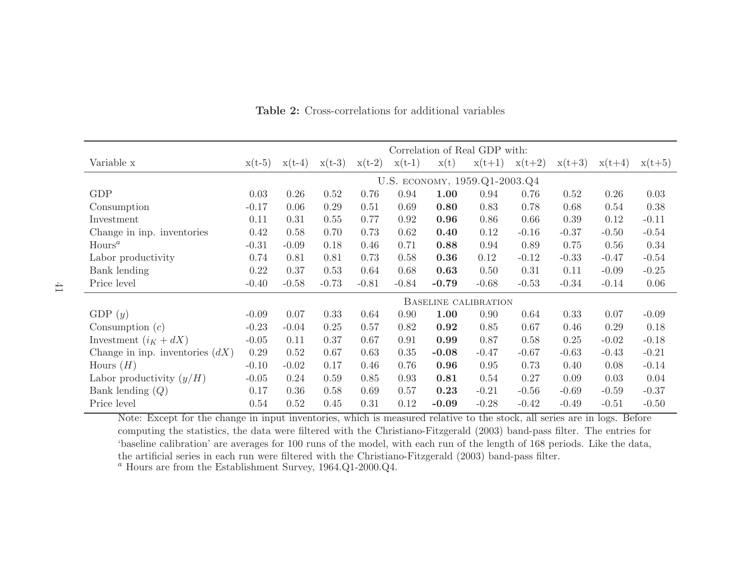|                                   | Correlation of Real GDP with: |          |          |          |          |         |          |          |          |          |          |  |
|-----------------------------------|-------------------------------|----------|----------|----------|----------|---------|----------|----------|----------|----------|----------|--|
| Variable x                        | $x(t-5)$                      | $x(t-4)$ | $x(t-3)$ | $x(t-2)$ | $x(t-1)$ | x(t)    | $x(t+1)$ | $x(t+2)$ | $x(t+3)$ | $x(t+4)$ | $x(t+5)$ |  |
|                                   | U.S. ECONOMY, 1959.Q1-2003.Q4 |          |          |          |          |         |          |          |          |          |          |  |
| <b>GDP</b>                        | 0.03                          | 0.26     | 0.52     | 0.76     | 0.94     | 1.00    | 0.94     | 0.76     | 0.52     | 0.26     | 0.03     |  |
| Consumption                       | $-0.17$                       | 0.06     | 0.29     | 0.51     | 0.69     | 0.80    | 0.83     | 0.78     | 0.68     | 0.54     | 0.38     |  |
| Investment                        | 0.11                          | 0.31     | 0.55     | 0.77     | 0.92     | 0.96    | 0.86     | 0.66     | 0.39     | 0.12     | $-0.11$  |  |
| Change in inp. inventories        | 0.42                          | 0.58     | 0.70     | 0.73     | 0.62     | 0.40    | 0.12     | $-0.16$  | $-0.37$  | $-0.50$  | $-0.54$  |  |
| Hours <sup>a</sup>                | $-0.31$                       | $-0.09$  | 0.18     | 0.46     | 0.71     | 0.88    | 0.94     | 0.89     | 0.75     | 0.56     | 0.34     |  |
| Labor productivity                | 0.74                          | 0.81     | 0.81     | 0.73     | 0.58     | 0.36    | 0.12     | $-0.12$  | $-0.33$  | $-0.47$  | $-0.54$  |  |
| Bank lending                      | 0.22                          | 0.37     | 0.53     | 0.64     | 0.68     | 0.63    | 0.50     | 0.31     | 0.11     | $-0.09$  | $-0.25$  |  |
| Price level                       | $-0.40$                       | $-0.58$  | $-0.73$  | $-0.81$  | $-0.84$  | $-0.79$ | $-0.68$  | $-0.53$  | $-0.34$  | $-0.14$  | 0.06     |  |
|                                   | <b>BASELINE CALIBRATION</b>   |          |          |          |          |         |          |          |          |          |          |  |
| GDP $(y)$                         | $-0.09$                       | 0.07     | 0.33     | 0.64     | 0.90     | 1.00    | 0.90     | 0.64     | 0.33     | 0.07     | $-0.09$  |  |
| Consumption $(c)$                 | $-0.23$                       | $-0.04$  | 0.25     | 0.57     | 0.82     | 0.92    | 0.85     | 0.67     | 0.46     | 0.29     | 0.18     |  |
| Investment $(i_K + dX)$           | $-0.05$                       | 0.11     | 0.37     | 0.67     | 0.91     | 0.99    | 0.87     | 0.58     | 0.25     | $-0.02$  | $-0.18$  |  |
| Change in inp. inventories $(dX)$ | 0.29                          | 0.52     | 0.67     | 0.63     | 0.35     | $-0.08$ | $-0.47$  | $-0.67$  | $-0.63$  | $-0.43$  | $-0.21$  |  |
| Hours $(H)$                       | $-0.10$                       | $-0.02$  | 0.17     | 0.46     | 0.76     | 0.96    | 0.95     | 0.73     | 0.40     | 0.08     | $-0.14$  |  |
| Labor productivity $(y/H)$        | $-0.05$                       | 0.24     | 0.59     | 0.85     | 0.93     | 0.81    | 0.54     | 0.27     | 0.09     | 0.03     | 0.04     |  |
| Bank lending $(Q)$                | 0.17                          | 0.36     | 0.58     | 0.69     | 0.57     | 0.23    | $-0.21$  | $-0.56$  | $-0.69$  | $-0.59$  | $-0.37$  |  |
| Price level                       | 0.54                          | 0.52     | 0.45     | 0.31     | 0.12     | $-0.09$ | $-0.28$  | $-0.42$  | $-0.49$  | $-0.51$  | $-0.50$  |  |

Table 2: Cross-correlations for additional variables

Note: Except for the change in input inventories, which is measured relative to the stock, all series are in logs. Before computing the statistics, the data were filtered with the Christiano-Fitzgerald (2003) band-pass filter. The entries for 'baseline calibration' are averages for <sup>100</sup> runs of the model, with each run of the length of <sup>168</sup> periods. Like the data, the artificial series in each run were filtered with the Christiano-Fitzgerald (2003) band-pass filter.  $a$  Hours are from the Establishment Survey, 1964.Q1-2000.Q4.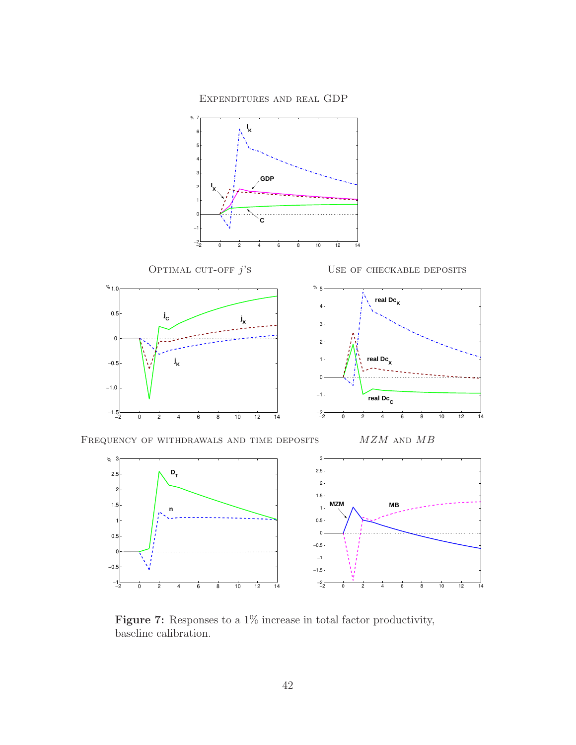Expenditures and real GDP



Figure 7: Responses to a  $1\%$  increase in total factor productivity, baseline calibration.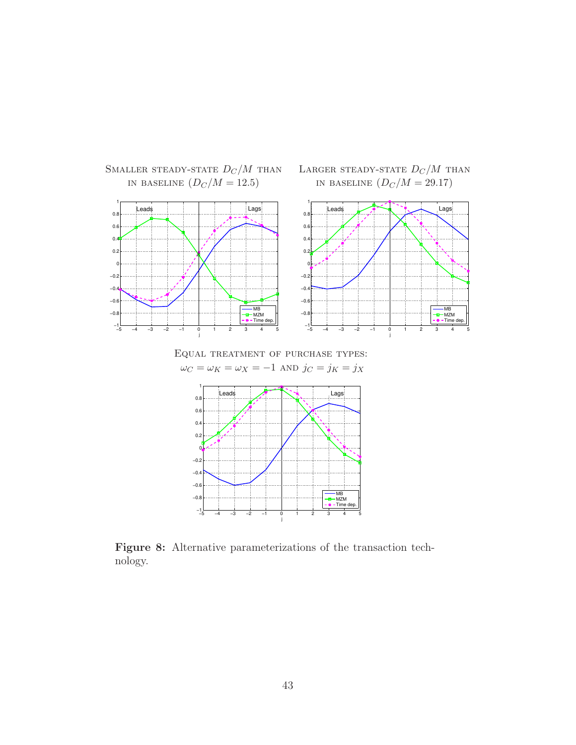

SMALLER STEADY-STATE  $D_C/M$  than LARGER STEADY-STATE  $D_C/M$  than IN BASELINE  $(D_C/M = 29.17)$ 

Equal treatment of purchase types:  $\omega_C = \omega_K = \omega_X = -1$  and  $j_C = j_K = j_X$ 



Figure 8: Alternative parameterizations of the transaction technology.